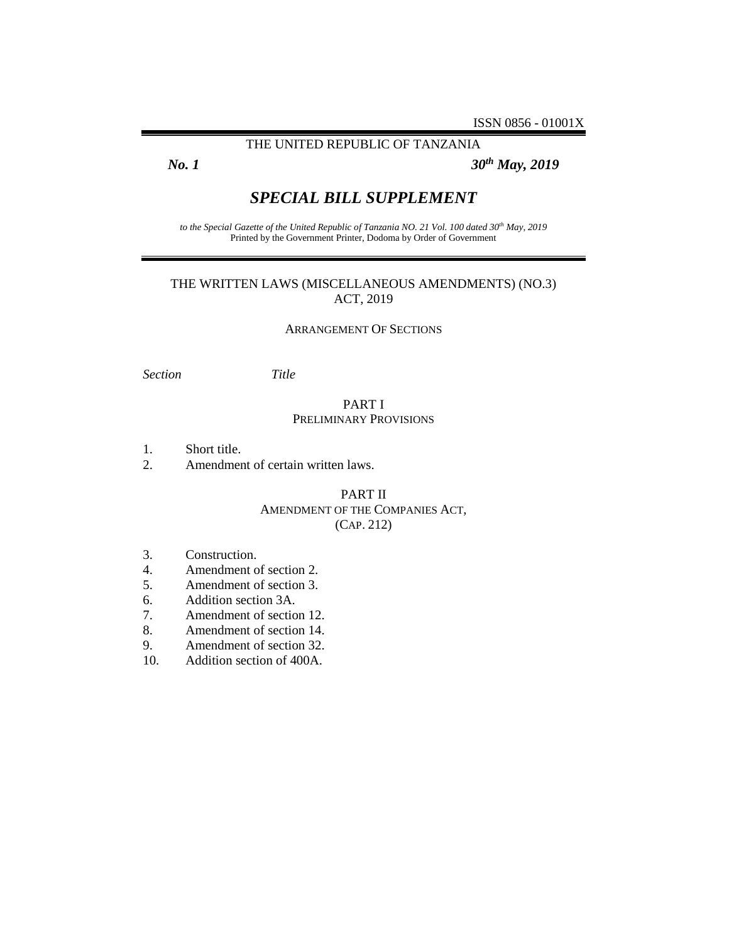### THE UNITED REPUBLIC OF TANZANIA

*No. 1 30th May, 2019*

# *SPECIAL BILL SUPPLEMENT*

*to the Special Gazette of the United Republic of Tanzania NO. 21 Vol. 100 dated 30th May, 2019* Printed by the Government Printer, Dodoma by Order of Government

# THE WRITTEN LAWS (MISCELLANEOUS AMENDMENTS) (NO.3) ACT, 2019

#### ARRANGEMENT OF SECTIONS

*Section Title*

### PART I PRELIMINARY PROVISIONS

- 1. Short title.
- 2. Amendment of certain written laws.

# PART II AMENDMENT OF THE COMPANIES ACT, (CAP. 212)

- 3. Construction.
- 4. Amendment of section 2.
- 5. Amendment of section 3.
- 6. Addition section 3A.
- 7. Amendment of section 12.
- 8. Amendment of section 14.
- 9. Amendment of section 32.
- 10. Addition section of 400A.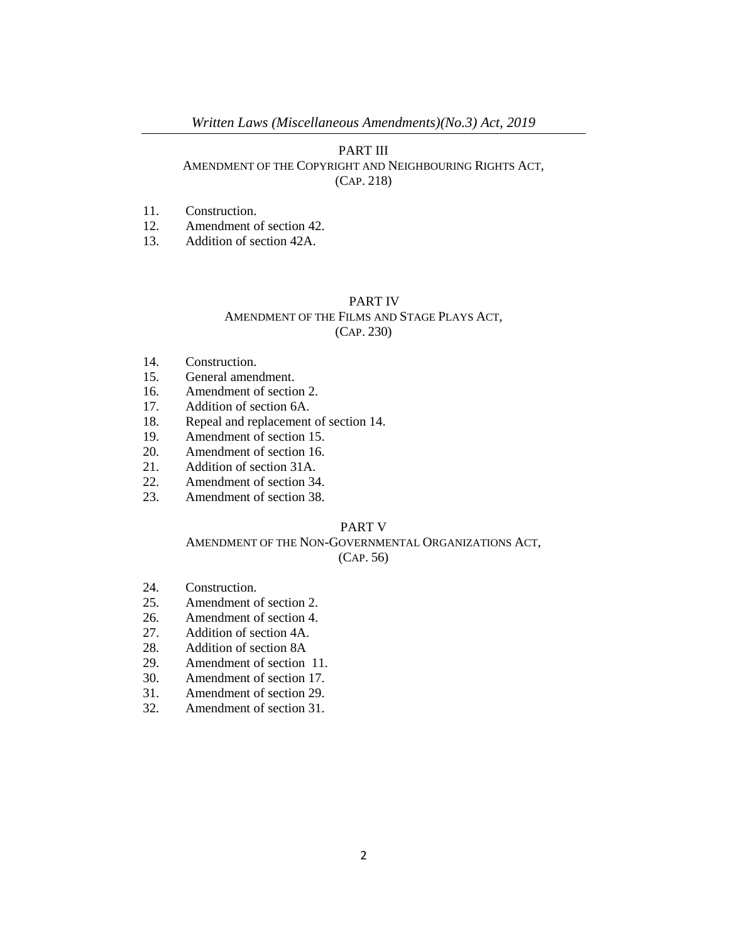### PART III

### AMENDMENT OF THE COPYRIGHT AND NEIGHBOURING RIGHTS ACT, (CAP. 218)

# 11. Construction.

- 12. Amendment of section 42.
- 13. Addition of section 42A.

#### PART IV

# AMENDMENT OF THE FILMS AND STAGE PLAYS ACT, (CAP. 230)

- 14. Construction.
- 15. General amendment.
- 16. Amendment of section 2.
- 17. Addition of section 6A.
- 18. Repeal and replacement of section 14.
- 19. Amendment of section 15.
- 20. Amendment of section 16.
- 21. Addition of section 31A.
- 22. Amendment of section 34.
- 23. Amendment of section 38.

# PART V

### AMENDMENT OF THE NON-GOVERNMENTAL ORGANIZATIONS ACT, (CAP. 56)

- 24. Construction.
- 25. Amendment of section 2.
- 26. Amendment of section 4.
- 27. Addition of section 4A.
- 28. Addition of section 8A
- 29. Amendment of section 11.
- 30. Amendment of section 17.
- 31. Amendment of section 29.
- 32. Amendment of section 31.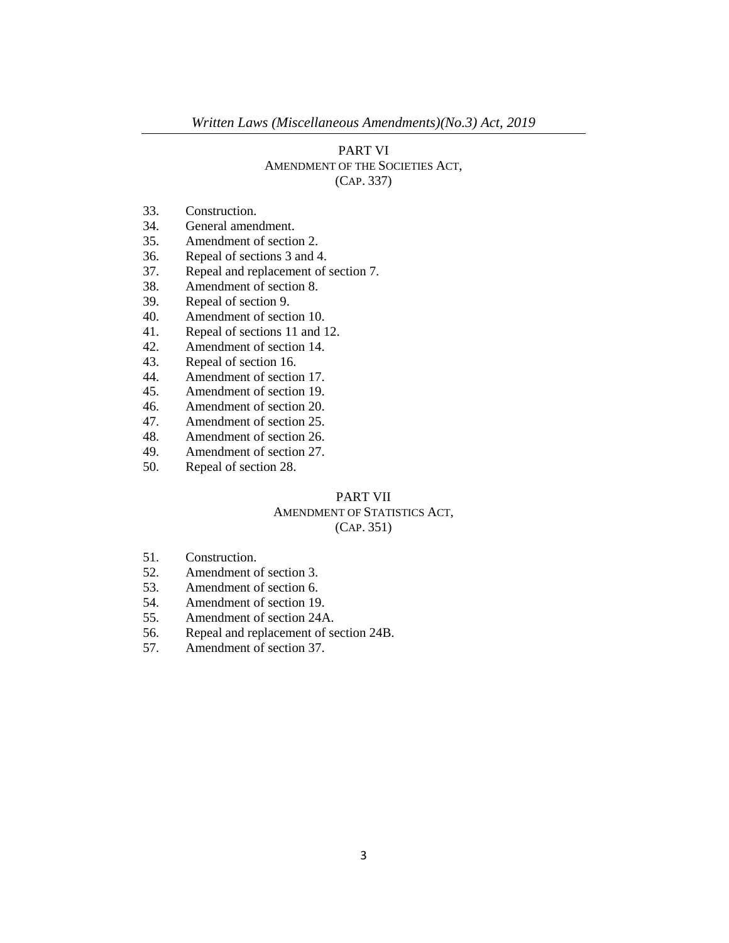# PART VI AMENDMENT OF THE SOCIETIES ACT, (CAP. 337)

- 33. Construction.
- 34. General amendment.
- 35. Amendment of section 2.
- 36. Repeal of sections 3 and 4.
- 37. Repeal and replacement of section 7.
- 38. Amendment of section 8.
- 39. Repeal of section 9.
- 40. Amendment of section 10.
- 41. Repeal of sections 11 and 12.
- 42. Amendment of section 14.
- 43. Repeal of section 16.
- 44. Amendment of section 17.
- 45. Amendment of section 19.
- 46. Amendment of section 20.
- 47. Amendment of section 25.
- 48. Amendment of section 26.<br>49. Amendment of section 27.
- Amendment of section 27.
- 50. Repeal of section 28.

## PART VII AMENDMENT OF STATISTICS ACT, (CAP. 351)

- 51. Construction.
- 52. Amendment of section 3.
- 53. Amendment of section 6.
- 54. Amendment of section 19.
- 55. Amendment of section 24A.
- 56. Repeal and replacement of section 24B.
- 57. Amendment of section 37.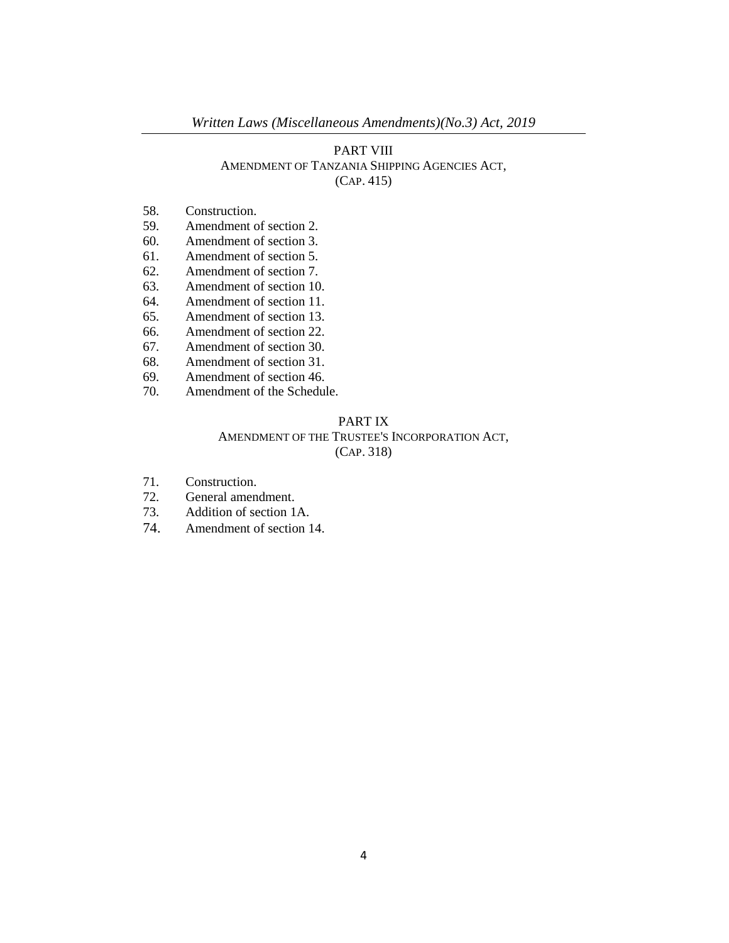# PART VIII AMENDMENT OF TANZANIA SHIPPING AGENCIES ACT, (CAP. 415)

- 58. Construction.
- 59. Amendment of section 2.
- 60. Amendment of section 3.
- 61. Amendment of section 5.
- 62. Amendment of section 7.
- 63. Amendment of section 10.
- 64. Amendment of section 11.
- 65. Amendment of section 13.
- 66. Amendment of section 22.
- 67. Amendment of section 30.
- 68. Amendment of section 31.
- 69. Amendment of section 46.
- 70. Amendment of the Schedule.

## PART IX AMENDMENT OF THE TRUSTEE'S INCORPORATION ACT, (CAP. 318)

- 71. Construction.
- 72. General amendment.
- 73. Addition of section 1A.
- 74. Amendment of section 14.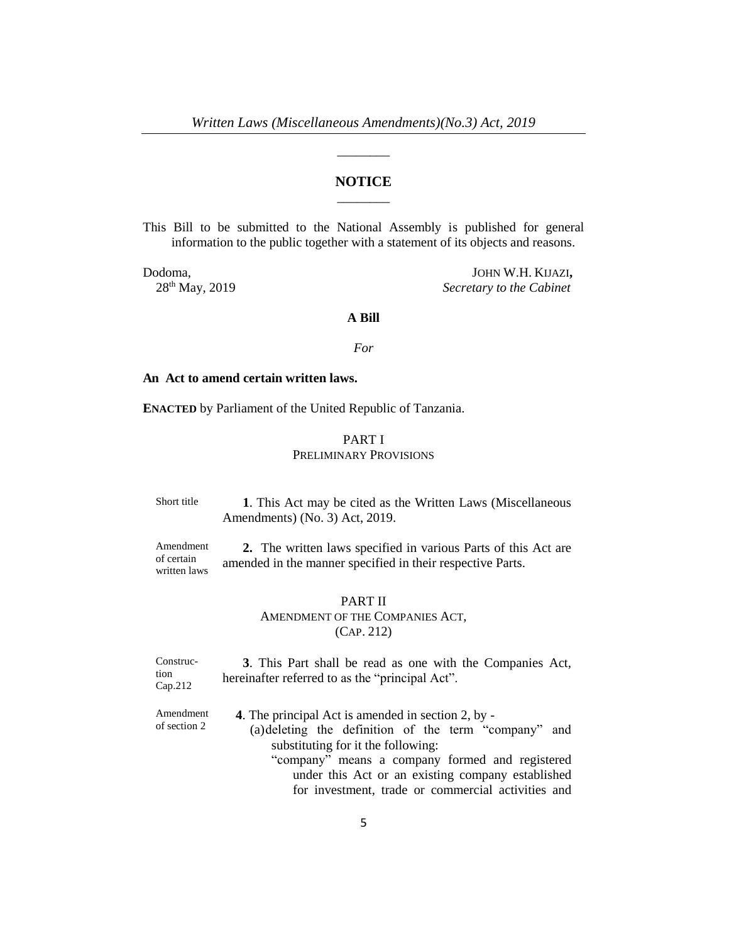\_\_\_\_\_\_\_\_

## **NOTICE** \_\_\_\_\_\_\_\_

This Bill to be submitted to the National Assembly is published for general information to the public together with a statement of its objects and reasons.

Dodoma, JOHN W.H. KIJAZI**,** 28th May, 2019 *Secretary to the Cabinet*

#### **A Bill**

#### *For*

#### **An Act to amend certain written laws.**

**ENACTED** by Parliament of the United Republic of Tanzania.

### PART I PRELIMINARY PROVISIONS

Short title **1**. This Act may be cited as the Written Laws (Miscellaneous Amendments) (No. 3) Act, 2019.

Amendment of certain written laws **2.** The written laws specified in various Parts of this Act are amended in the manner specified in their respective Parts.

### PART II

AMENDMENT OF THE COMPANIES ACT, (CAP. 212)

Construction Cap.212 **3**. This Part shall be read as one with the Companies Act, hereinafter referred to as the "principal Act".

Amendment of section 2 **4**. The principal Act is amended in section 2, by -

(a)deleting the definition of the term "company" and substituting for it the following: "company" means a company formed and registered under this Act or an existing company established for investment, trade or commercial activities and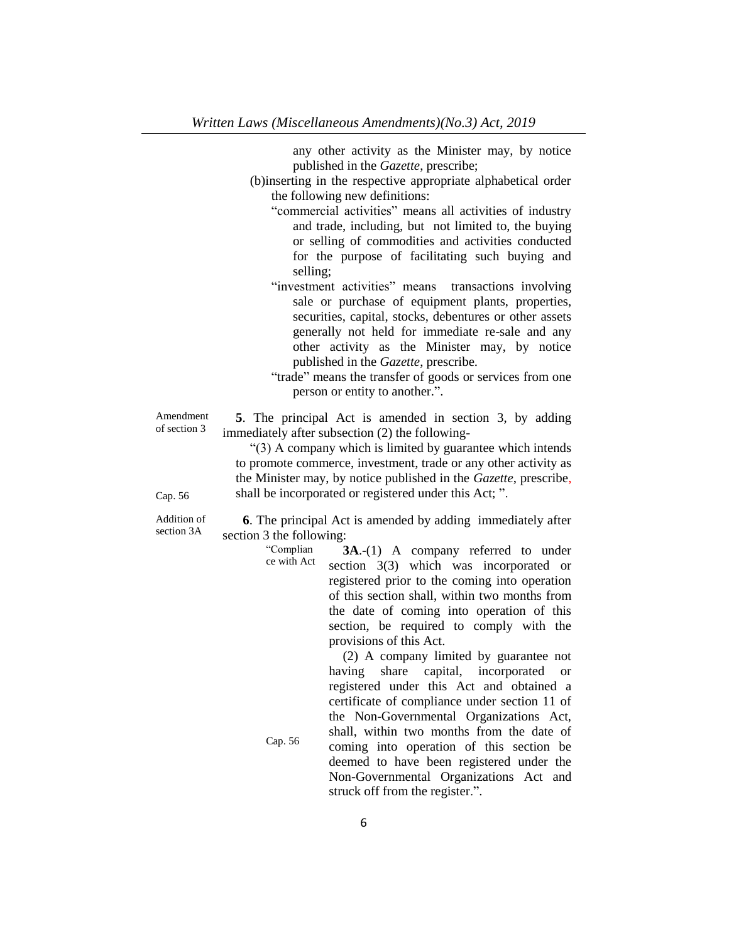any other activity as the Minister may, by notice published in the *Gazette*, prescribe;

- (b)inserting in the respective appropriate alphabetical order the following new definitions:
	- "commercial activities" means all activities of industry and trade, including, but not limited to, the buying or selling of commodities and activities conducted for the purpose of facilitating such buying and selling;
	- "investment activities" means transactions involving sale or purchase of equipment plants, properties, securities, capital, stocks, debentures or other assets generally not held for immediate re-sale and any other activity as the Minister may, by notice published in the *Gazette*, prescribe.
	- "trade" means the transfer of goods or services from one person or entity to another.".

Amendment of section 3 **5**. The principal Act is amended in section 3, by adding immediately after subsection (2) the following-

"Complian

Cap. 56

"(3) A company which is limited by guarantee which intends to promote commerce, investment, trade or any other activity as the Minister may, by notice published in the *Gazette*, prescribe, shall be incorporated or registered under this Act; ".

Cap. 56

Addition of section 3A

**6**. The principal Act is amended by adding immediately after section 3 the following:

> ce with Act **3A**.-(1) A company referred to under section 3(3) which was incorporated or registered prior to the coming into operation of this section shall, within two months from the date of coming into operation of this section, be required to comply with the provisions of this Act.

> > (2) A company limited by guarantee not having share capital, incorporated or registered under this Act and obtained a certificate of compliance under section 11 of the Non-Governmental Organizations Act, shall, within two months from the date of coming into operation of this section be deemed to have been registered under the Non-Governmental Organizations Act and struck off from the register.".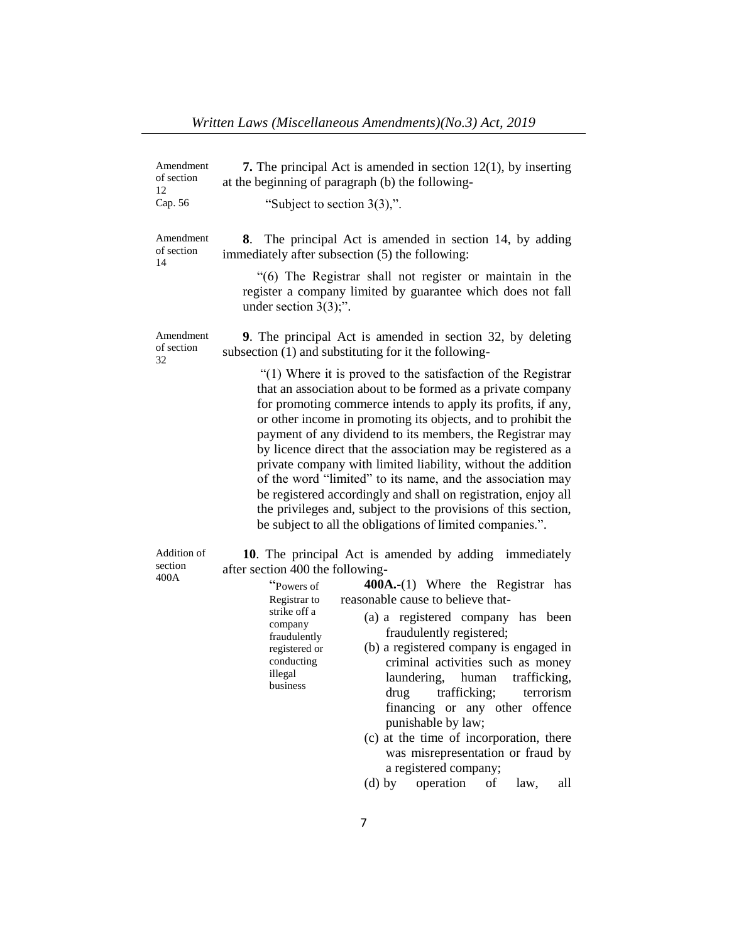| Amendment<br>of section<br>12 | <b>7.</b> The principal Act is amended in section $12(1)$ , by inserting<br>at the beginning of paragraph (b) the following-                                                                                                                                                                                                                                                                                                                                                                                                                                                                                                                                                                                              |  |  |
|-------------------------------|---------------------------------------------------------------------------------------------------------------------------------------------------------------------------------------------------------------------------------------------------------------------------------------------------------------------------------------------------------------------------------------------------------------------------------------------------------------------------------------------------------------------------------------------------------------------------------------------------------------------------------------------------------------------------------------------------------------------------|--|--|
| Cap. 56                       | "Subject to section $3(3)$ ,".                                                                                                                                                                                                                                                                                                                                                                                                                                                                                                                                                                                                                                                                                            |  |  |
| Amendment<br>of section<br>14 | The principal Act is amended in section 14, by adding<br>8.<br>immediately after subsection (5) the following:                                                                                                                                                                                                                                                                                                                                                                                                                                                                                                                                                                                                            |  |  |
|                               | "(6) The Registrar shall not register or maintain in the<br>register a company limited by guarantee which does not fall<br>under section $3(3)$ ;".                                                                                                                                                                                                                                                                                                                                                                                                                                                                                                                                                                       |  |  |
| Amendment<br>of section<br>32 | 9. The principal Act is amended in section 32, by deleting<br>subsection (1) and substituting for it the following-                                                                                                                                                                                                                                                                                                                                                                                                                                                                                                                                                                                                       |  |  |
|                               | "(1) Where it is proved to the satisfaction of the Registrar<br>that an association about to be formed as a private company<br>for promoting commerce intends to apply its profits, if any,<br>or other income in promoting its objects, and to prohibit the<br>payment of any dividend to its members, the Registrar may<br>by licence direct that the association may be registered as a<br>private company with limited liability, without the addition<br>of the word "limited" to its name, and the association may<br>be registered accordingly and shall on registration, enjoy all<br>the privileges and, subject to the provisions of this section,<br>be subject to all the obligations of limited companies.". |  |  |
| Addition of<br>section        | 10. The principal Act is amended by adding immediately                                                                                                                                                                                                                                                                                                                                                                                                                                                                                                                                                                                                                                                                    |  |  |
| 400A                          | after section 400 the following-<br>$400A-(1)$ Where the Registrar has<br>"Powers of<br>reasonable cause to believe that-<br>Registrar to                                                                                                                                                                                                                                                                                                                                                                                                                                                                                                                                                                                 |  |  |
|                               | strike off a<br>(a) a registered company has been<br>company                                                                                                                                                                                                                                                                                                                                                                                                                                                                                                                                                                                                                                                              |  |  |
|                               | fraudulently registered;<br>fraudulently<br>(b) a registered company is engaged in<br>registered or                                                                                                                                                                                                                                                                                                                                                                                                                                                                                                                                                                                                                       |  |  |
|                               | conducting<br>criminal activities such as money<br>illegal<br>laundering,<br>human<br>trafficking,                                                                                                                                                                                                                                                                                                                                                                                                                                                                                                                                                                                                                        |  |  |
|                               | business<br>drug trafficking; terrorism                                                                                                                                                                                                                                                                                                                                                                                                                                                                                                                                                                                                                                                                                   |  |  |
|                               | financing or any other offence<br>punishable by law;                                                                                                                                                                                                                                                                                                                                                                                                                                                                                                                                                                                                                                                                      |  |  |
|                               | (c) at the time of incorporation, there<br>was misrepresentation or fraud by                                                                                                                                                                                                                                                                                                                                                                                                                                                                                                                                                                                                                                              |  |  |
|                               | a registered company;<br>$(d)$ by<br>operation<br>of<br>law,<br>all                                                                                                                                                                                                                                                                                                                                                                                                                                                                                                                                                                                                                                                       |  |  |
|                               |                                                                                                                                                                                                                                                                                                                                                                                                                                                                                                                                                                                                                                                                                                                           |  |  |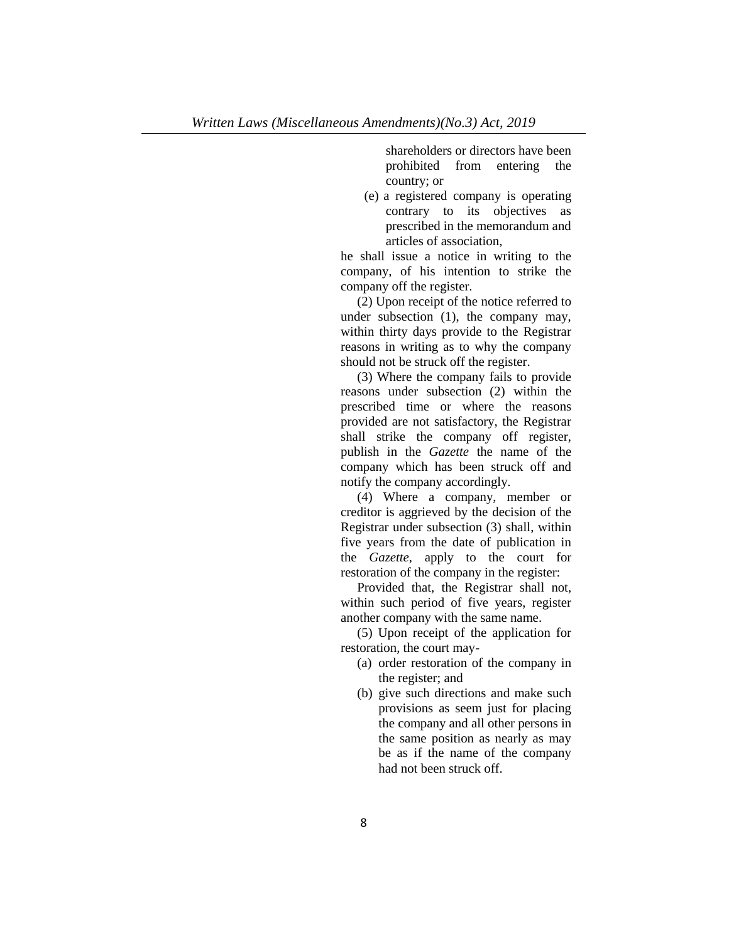shareholders or directors have been prohibited from entering the country; or

(e) a registered company is operating contrary to its objectives as prescribed in the memorandum and articles of association,

he shall issue a notice in writing to the company, of his intention to strike the company off the register.

(2) Upon receipt of the notice referred to under subsection (1), the company may, within thirty days provide to the Registrar reasons in writing as to why the company should not be struck off the register.

(3) Where the company fails to provide reasons under subsection (2) within the prescribed time or where the reasons provided are not satisfactory, the Registrar shall strike the company off register, publish in the *Gazette* the name of the company which has been struck off and notify the company accordingly.

(4) Where a company, member or creditor is aggrieved by the decision of the Registrar under subsection (3) shall, within five years from the date of publication in the *Gazette,* apply to the court for restoration of the company in the register:

Provided that, the Registrar shall not, within such period of five years, register another company with the same name.

(5) Upon receipt of the application for restoration, the court may-

- (a) order restoration of the company in the register; and
- (b) give such directions and make such provisions as seem just for placing the company and all other persons in the same position as nearly as may be as if the name of the company had not been struck off.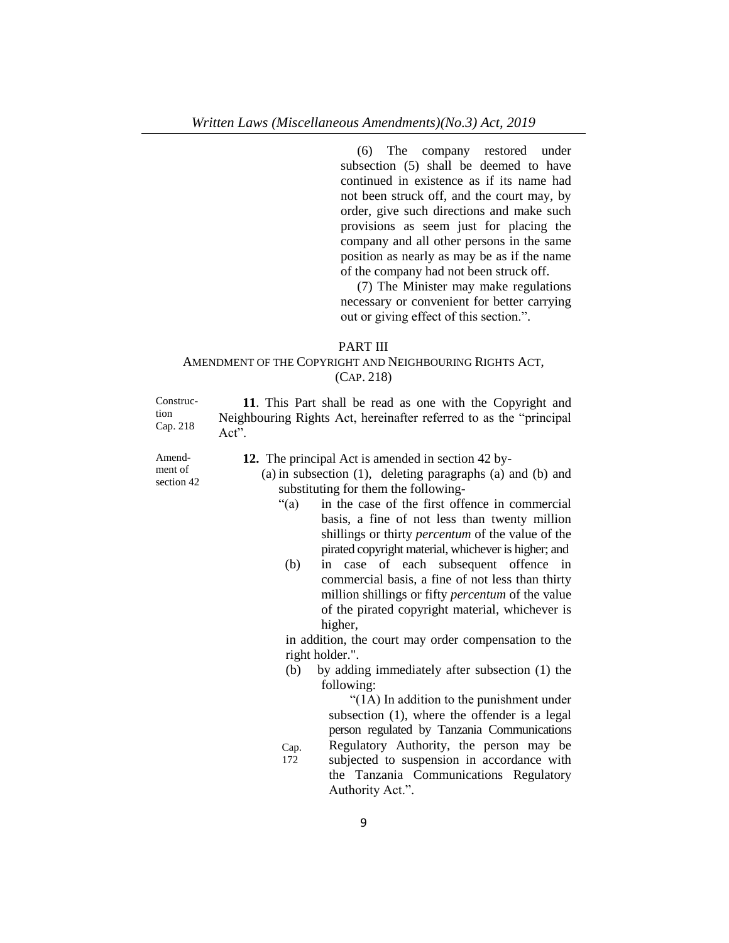(6) The company restored under subsection (5) shall be deemed to have continued in existence as if its name had not been struck off, and the court may, by order, give such directions and make such provisions as seem just for placing the company and all other persons in the same position as nearly as may be as if the name of the company had not been struck off.

(7) The Minister may make regulations necessary or convenient for better carrying out or giving effect of this section.".

### PART III

## AMENDMENT OF THE COPYRIGHT AND NEIGHBOURING RIGHTS ACT, (CAP. 218)

Construction Cap. 218 **11**. This Part shall be read as one with the Copyright and Neighbouring Rights Act, hereinafter referred to as the "principal Act".

Amendment of section 42 **12.** The principal Act is amended in section 42 by-

- (a) in subsection (1), deleting paragraphs (a) and (b) and substituting for them the following-
	- "(a) in the case of the first offence in commercial basis, a fine of not less than twenty million shillings or thirty *percentum* of the value of the pirated copyright material, whichever is higher; and
	- (b) in case of each subsequent offence in commercial basis, a fine of not less than thirty million shillings or fifty *percentum* of the value of the pirated copyright material, whichever is higher,

in addition, the court may order compensation to the right holder.".

(b) by adding immediately after subsection (1) the following:

> "(1A) In addition to the punishment under subsection (1), where the offender is a legal person regulated by Tanzania Communications Regulatory Authority, the person may be

Cap. 172 subjected to suspension in accordance with the Tanzania Communications Regulatory Authority Act.".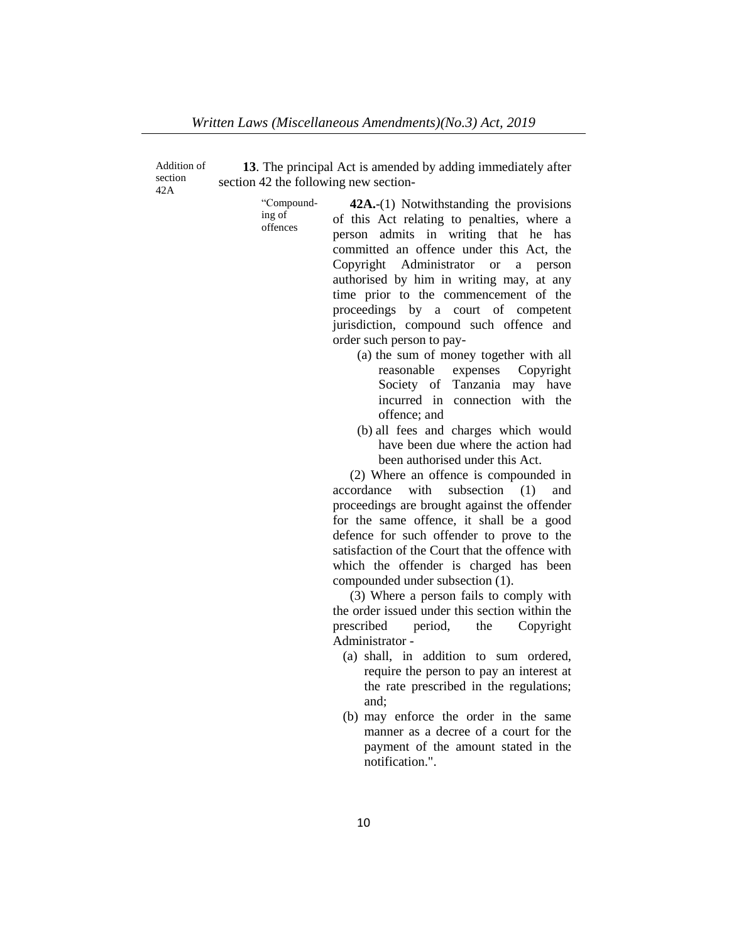Addition of section 42A

**13**. The principal Act is amended by adding immediately after section 42 the following new section-

> "Compounding of offences

**42A.**-(1) Notwithstanding the provisions of this Act relating to penalties, where a person admits in writing that he has committed an offence under this Act, the Copyright Administrator or a person authorised by him in writing may, at any time prior to the commencement of the proceedings by a court of competent jurisdiction, compound such offence and order such person to pay-

- (a) the sum of money together with all reasonable expenses Copyright Society of Tanzania may have incurred in connection with the offence; and
- (b) all fees and charges which would have been due where the action had been authorised under this Act.

(2) Where an offence is compounded in accordance with subsection (1) and proceedings are brought against the offender for the same offence, it shall be a good defence for such offender to prove to the satisfaction of the Court that the offence with which the offender is charged has been compounded under subsection (1).

(3) Where a person fails to comply with the order issued under this section within the prescribed period, the Copyright Administrator -

- (a) shall, in addition to sum ordered, require the person to pay an interest at the rate prescribed in the regulations; and;
- (b) may enforce the order in the same manner as a decree of a court for the payment of the amount stated in the notification.".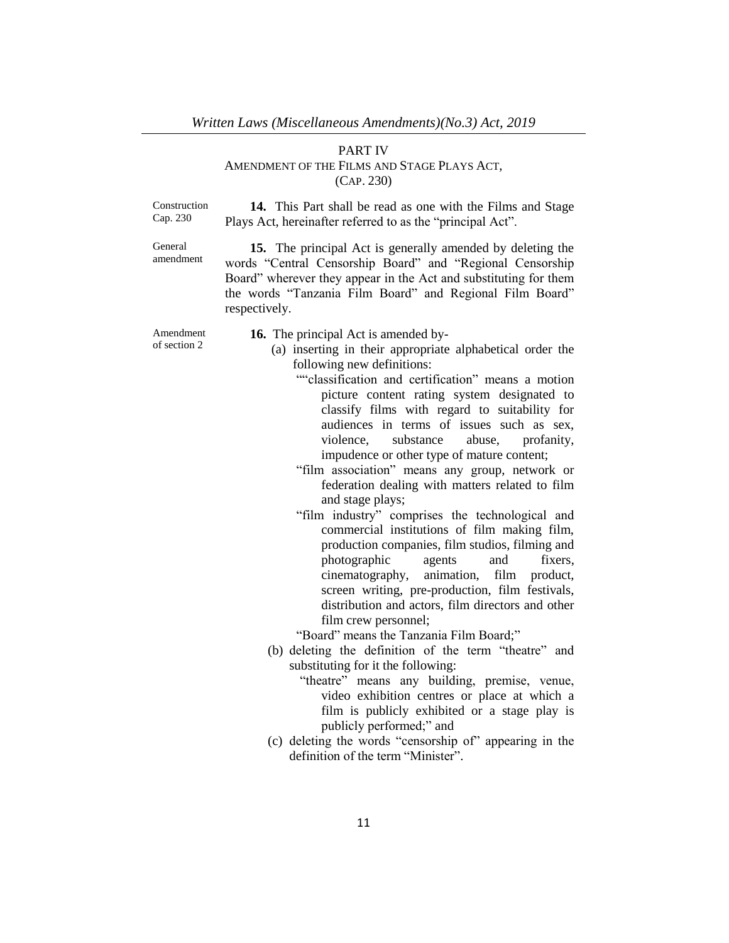### PART IV AMENDMENT OF THE FILMS AND STAGE PLAYS ACT, (CAP. 230)

Construction Cap. 230

**14.** This Part shall be read as one with the Films and Stage Plays Act, hereinafter referred to as the "principal Act".

General amendment

**15.** The principal Act is generally amended by deleting the words "Central Censorship Board" and "Regional Censorship Board" wherever they appear in the Act and substituting for them the words "Tanzania Film Board" and Regional Film Board" respectively.

Amendment of section 2

- **16.** The principal Act is amended by-
	- (a) inserting in their appropriate alphabetical order the following new definitions:

""classification and certification" means a motion picture content rating system designated to classify films with regard to suitability for audiences in terms of issues such as sex, violence, substance abuse, profanity, impudence or other type of mature content;

"film association" means any group, network or federation dealing with matters related to film and stage plays;

"film industry" comprises the technological and commercial institutions of film making film, production companies, film studios, filming and photographic agents and fixers, cinematography, animation, film product, screen writing, pre-production, film festivals, distribution and actors, film directors and other film crew personnel;

"Board" means the Tanzania Film Board;"

- (b) deleting the definition of the term "theatre" and substituting for it the following:
	- "theatre" means any building, premise, venue, video exhibition centres or place at which a film is publicly exhibited or a stage play is publicly performed;" and
- (c) deleting the words "censorship of" appearing in the definition of the term "Minister".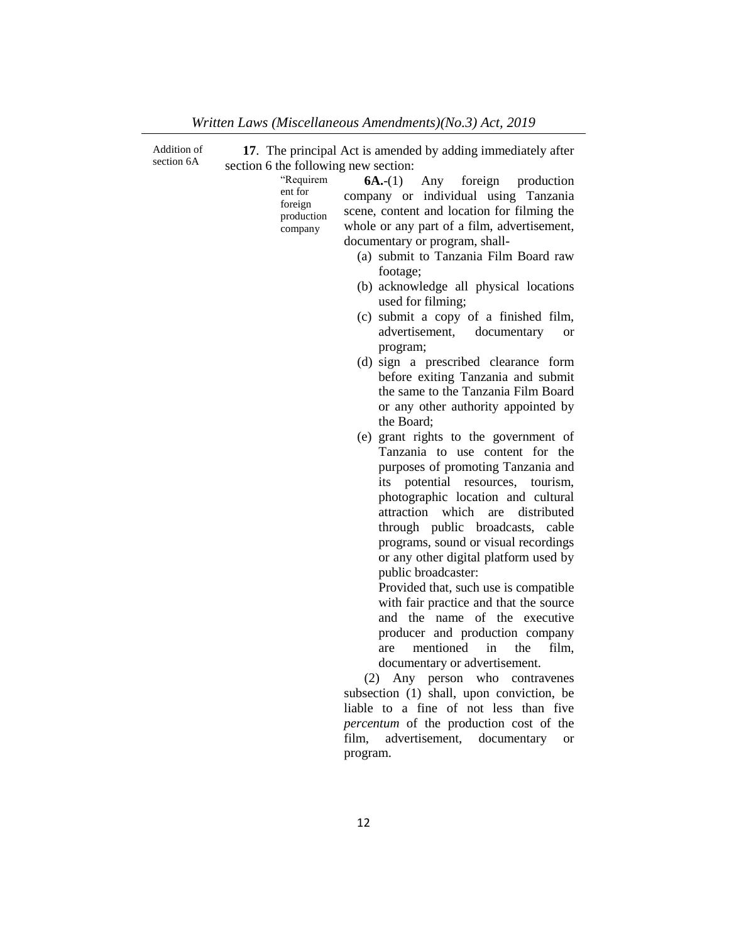| Addition of<br>section 6A | 17. The principal Act is amended by adding immediately after                                                                                                                                                                                                                                                                                                                                                                                                                                                                                                                                                                                                                                                                                                                                                                                                                                                                                                                                                                                                                                                                                                                                                                                                                                                                                     |
|---------------------------|--------------------------------------------------------------------------------------------------------------------------------------------------------------------------------------------------------------------------------------------------------------------------------------------------------------------------------------------------------------------------------------------------------------------------------------------------------------------------------------------------------------------------------------------------------------------------------------------------------------------------------------------------------------------------------------------------------------------------------------------------------------------------------------------------------------------------------------------------------------------------------------------------------------------------------------------------------------------------------------------------------------------------------------------------------------------------------------------------------------------------------------------------------------------------------------------------------------------------------------------------------------------------------------------------------------------------------------------------|
|                           | section 6 the following new section:<br>"Requirem<br>$6A-(1)$<br>Any foreign<br>production<br>ent for<br>company or individual using Tanzania<br>foreign<br>scene, content and location for filming the<br>production<br>whole or any part of a film, advertisement,<br>company<br>documentary or program, shall-<br>(a) submit to Tanzania Film Board raw<br>footage;<br>(b) acknowledge all physical locations<br>used for filming;<br>(c) submit a copy of a finished film,<br>advertisement, documentary<br><b>or</b><br>program;<br>(d) sign a prescribed clearance form<br>before exiting Tanzania and submit<br>the same to the Tanzania Film Board<br>or any other authority appointed by<br>the Board;<br>(e) grant rights to the government of<br>Tanzania to use content for the<br>purposes of promoting Tanzania and<br>potential<br>resources,<br>its<br>tourism,<br>photographic location and cultural<br>which<br>distributed<br>attraction<br>are<br>through public broadcasts, cable<br>programs, sound or visual recordings<br>or any other digital platform used by<br>public broadcaster:<br>Provided that, such use is compatible<br>with fair practice and that the source<br>and the name of the executive<br>producer and production company<br>mentioned<br>the<br>in<br>film,<br>are<br>documentary or advertisement. |
|                           |                                                                                                                                                                                                                                                                                                                                                                                                                                                                                                                                                                                                                                                                                                                                                                                                                                                                                                                                                                                                                                                                                                                                                                                                                                                                                                                                                  |
|                           | (2) Any person who contravenes<br>subsection (1) shall, upon conviction, be                                                                                                                                                                                                                                                                                                                                                                                                                                                                                                                                                                                                                                                                                                                                                                                                                                                                                                                                                                                                                                                                                                                                                                                                                                                                      |
|                           | liable to a fine of not less than five<br>percentum of the production cost of the<br>advertisement, documentary<br>film,<br><b>or</b>                                                                                                                                                                                                                                                                                                                                                                                                                                                                                                                                                                                                                                                                                                                                                                                                                                                                                                                                                                                                                                                                                                                                                                                                            |
|                           | program.                                                                                                                                                                                                                                                                                                                                                                                                                                                                                                                                                                                                                                                                                                                                                                                                                                                                                                                                                                                                                                                                                                                                                                                                                                                                                                                                         |

*Written Laws (Miscellaneous Amendments)(No.3) Act, 2019*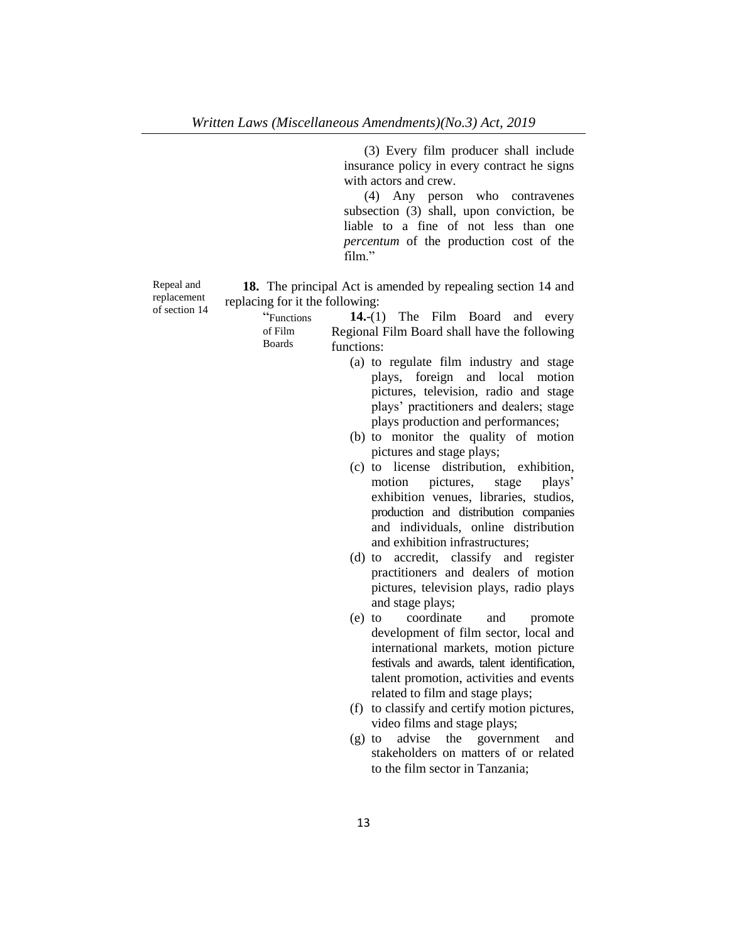(3) Every film producer shall include insurance policy in every contract he signs with actors and crew.

(4) Any person who contravenes subsection (3) shall, upon conviction, be liable to a fine of not less than one *percentum* of the production cost of the film."

Repeal and replacement of section 14

**18.** The principal Act is amended by repealing section 14 and replacing for it the following:

> "Functions of Film Boards

**14.**-(1) The Film Board and every Regional Film Board shall have the following functions:

- (a) to regulate film industry and stage plays, foreign and local motion pictures, television, radio and stage plays' practitioners and dealers; stage plays production and performances;
- (b) to monitor the quality of motion pictures and stage plays;
- (c) to license distribution, exhibition, motion pictures, stage plays' exhibition venues, libraries, studios, production and distribution companies and individuals, online distribution and exhibition infrastructures;
- (d) to accredit, classify and register practitioners and dealers of motion pictures, television plays, radio plays and stage plays;
- (e) to coordinate and promote development of film sector, local and international markets, motion picture festivals and awards, talent identification, talent promotion, activities and events related to film and stage plays;
- (f) to classify and certify motion pictures, video films and stage plays;
- (g) to advise the government and stakeholders on matters of or related to the film sector in Tanzania;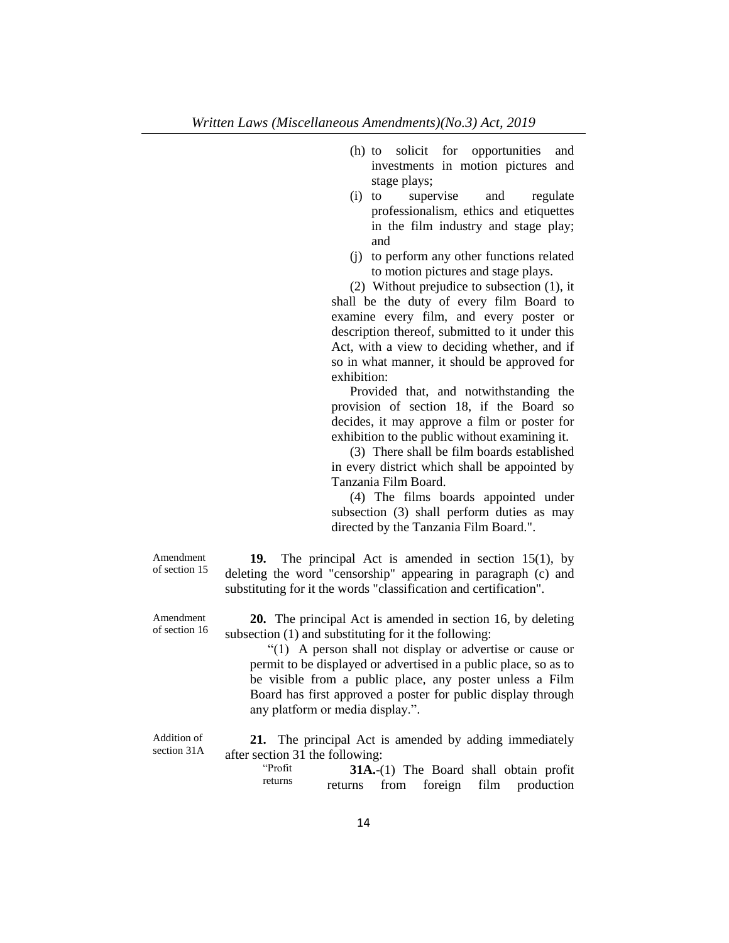- (h) to solicit for opportunities and investments in motion pictures and stage plays;
- (i) to supervise and regulate professionalism, ethics and etiquettes in the film industry and stage play; and
- (j) to perform any other functions related to motion pictures and stage plays.

(2) Without prejudice to subsection (1), it shall be the duty of every film Board to examine every film, and every poster or description thereof, submitted to it under this Act, with a view to deciding whether, and if so in what manner, it should be approved for exhibition:

Provided that, and notwithstanding the provision of section 18, if the Board so decides, it may approve a film or poster for exhibition to the public without examining it.

(3) There shall be film boards established in every district which shall be appointed by Tanzania Film Board.

(4) The films boards appointed under subsection (3) shall perform duties as may directed by the Tanzania Film Board.".

Amendment of section 15

**19.** The principal Act is amended in section 15(1), by deleting the word "censorship" appearing in paragraph (c) and substituting for it the words "classification and certification".

Amendment of section 16

**20.** The principal Act is amended in section 16, by deleting subsection (1) and substituting for it the following:

"(1) A person shall not display or advertise or cause or permit to be displayed or advertised in a public place, so as to be visible from a public place, any poster unless a Film Board has first approved a poster for public display through any platform or media display.".

Addition of section 31A

**21.** The principal Act is amended by adding immediately after section 31 the following:

"Profit returns **31A.**-(1) The Board shall obtain profit returns from foreign film production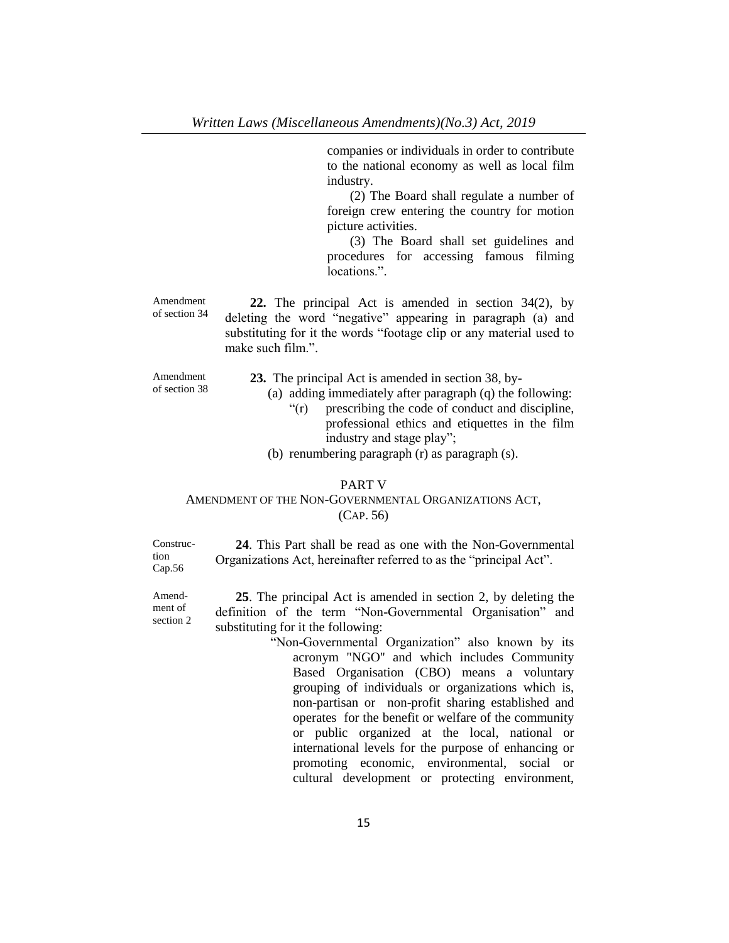companies or individuals in order to contribute to the national economy as well as local film industry.

(2) The Board shall regulate a number of foreign crew entering the country for motion picture activities.

(3) The Board shall set guidelines and procedures for accessing famous filming locations.".

Amendment of section 34 **22.** The principal Act is amended in section 34(2), by deleting the word "negative" appearing in paragraph (a) and substituting for it the words "footage clip or any material used to make such film.".

Amendment of section 38

- **23.** The principal Act is amended in section 38, by-
	- (a) adding immediately after paragraph (q) the following:
		- "(r) prescribing the code of conduct and discipline, professional ethics and etiquettes in the film industry and stage play";
	- (b) renumbering paragraph (r) as paragraph (s).

### PART V

# AMENDMENT OF THE NON-GOVERNMENTAL ORGANIZATIONS ACT, (CAP. 56)

Construction Cap.56

Amendment of section 2

**24**. This Part shall be read as one with the Non-Governmental Organizations Act, hereinafter referred to as the "principal Act".

**25**. The principal Act is amended in section 2, by deleting the definition of the term "Non-Governmental Organisation" and substituting for it the following:

"Non-Governmental Organization" also known by its acronym "NGO'' and which includes Community Based Organisation (CBO) means a voluntary grouping of individuals or organizations which is, non-partisan or non-profit sharing established and operates for the benefit or welfare of the community or public organized at the local, national or international levels for the purpose of enhancing or promoting economic, environmental, social or cultural development or protecting environment,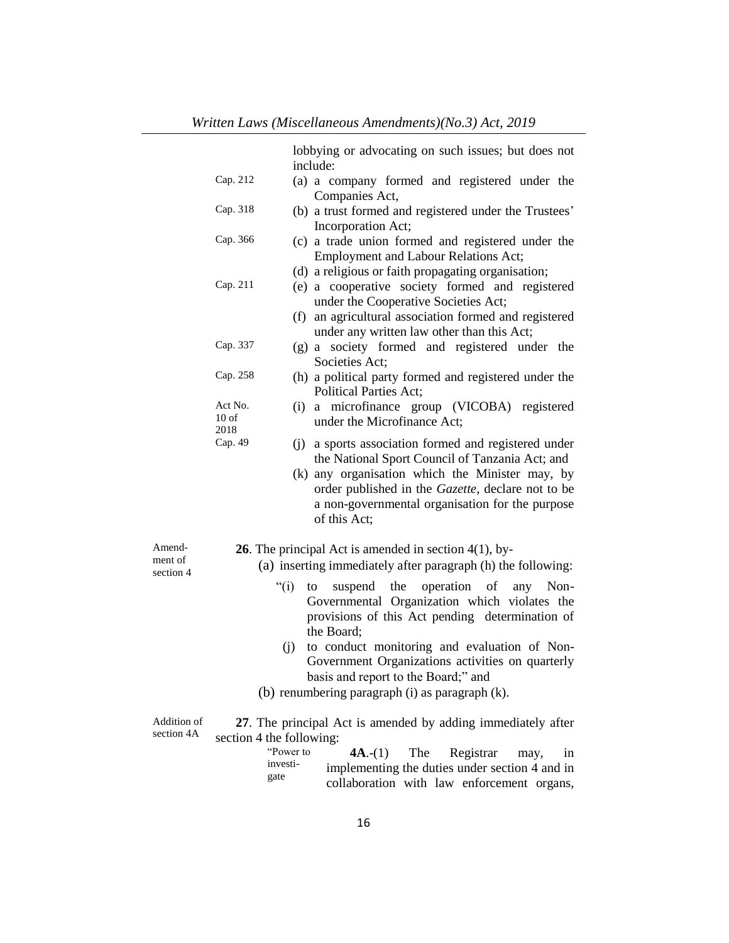|                           |                                              | lobbying or advocating on such issues; but does not<br>include:                                                                                                                                                                                                                    |
|---------------------------|----------------------------------------------|------------------------------------------------------------------------------------------------------------------------------------------------------------------------------------------------------------------------------------------------------------------------------------|
|                           | Cap. 212                                     | (a) a company formed and registered under the<br>Companies Act,                                                                                                                                                                                                                    |
|                           | Cap. 318                                     | (b) a trust formed and registered under the Trustees'<br>Incorporation Act;                                                                                                                                                                                                        |
|                           | Cap. 366                                     | (c) a trade union formed and registered under the<br><b>Employment and Labour Relations Act;</b>                                                                                                                                                                                   |
|                           | Cap. 211                                     | (d) a religious or faith propagating organisation;<br>(e) a cooperative society formed and registered<br>under the Cooperative Societies Act;                                                                                                                                      |
|                           |                                              | (f) an agricultural association formed and registered<br>under any written law other than this Act;                                                                                                                                                                                |
|                           | Cap. 337                                     | (g) a society formed and registered under the<br>Societies Act;                                                                                                                                                                                                                    |
|                           | Cap. 258                                     | (h) a political party formed and registered under the<br><b>Political Parties Act;</b>                                                                                                                                                                                             |
|                           | Act No.<br>10 <sub>of</sub><br>2018          | a microfinance group (VICOBA) registered<br>(i)<br>under the Microfinance Act;                                                                                                                                                                                                     |
|                           | Cap. 49                                      | (j) a sports association formed and registered under<br>the National Sport Council of Tanzania Act; and<br>(k) any organisation which the Minister may, by<br>order published in the Gazette, declare not to be<br>a non-governmental organisation for the purpose<br>of this Act; |
| Amend-<br>ment of         |                                              | <b>26.</b> The principal Act is amended in section $4(1)$ , by-<br>(a) inserting immediately after paragraph (h) the following:                                                                                                                                                    |
| section 4                 | " $(i)$                                      | the<br>operation<br>Non-<br>to<br>of<br>any<br>suspend<br>Governmental Organization which violates the<br>provisions of this Act pending determination of<br>the Board:<br>to conduct monitoring and evaluation of Non-<br>(i)                                                     |
|                           |                                              | Government Organizations activities on quarterly<br>basis and report to the Board;" and                                                                                                                                                                                            |
|                           |                                              | (b) renumbering paragraph (i) as paragraph (k).                                                                                                                                                                                                                                    |
| Addition of<br>section 4A | section 4 the following:<br>investi-<br>gate | 27. The principal Act is amended by adding immediately after<br>"Power to<br>$4A.-(1)$<br>The<br>Registrar<br>may,<br>1n<br>implementing the duties under section 4 and in<br>collaboration with law enforcement organs,                                                           |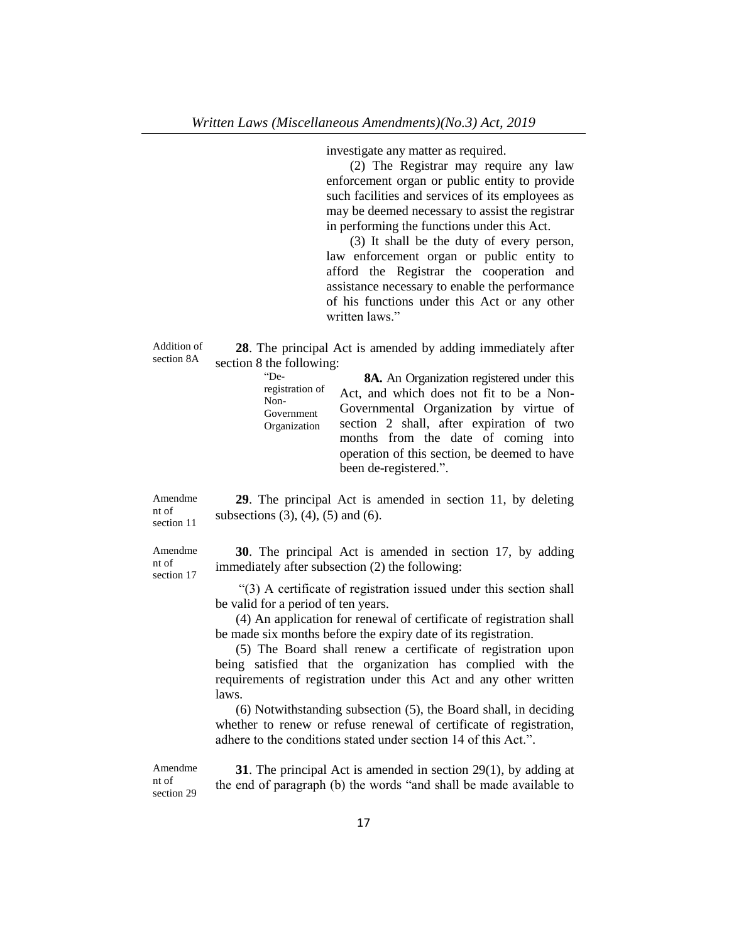investigate any matter as required.

(2) The Registrar may require any law enforcement organ or public entity to provide such facilities and services of its employees as may be deemed necessary to assist the registrar in performing the functions under this Act.

(3) It shall be the duty of every person, law enforcement organ or public entity to afford the Registrar the cooperation and assistance necessary to enable the performance of his functions under this Act or any other written laws."

Addition of section 8A

**28**. The principal Act is amended by adding immediately after section 8 the following:

> "Deregistration of Non-Government Organization **8A.** An Organization registered under this Act, and which does not fit to be a Non-Governmental Organization by virtue of section 2 shall, after expiration of two months from the date of coming into operation of this section, be deemed to have been de-registered.".

Amendme nt of section 11

subsections  $(3)$ ,  $(4)$ ,  $(5)$  and  $(6)$ .

**29**. The principal Act is amended in section 11, by deleting

Amendme nt of section 17

**30**. The principal Act is amended in section 17, by adding immediately after subsection (2) the following:

"(3) A certificate of registration issued under this section shall be valid for a period of ten years.

(4) An application for renewal of certificate of registration shall be made six months before the expiry date of its registration.

(5) The Board shall renew a certificate of registration upon being satisfied that the organization has complied with the requirements of registration under this Act and any other written laws.

(6) Notwithstanding subsection (5), the Board shall, in deciding whether to renew or refuse renewal of certificate of registration, adhere to the conditions stated under section 14 of this Act.".

Amendme nt of section 29

**31**. The principal Act is amended in section 29(1), by adding at the end of paragraph (b) the words "and shall be made available to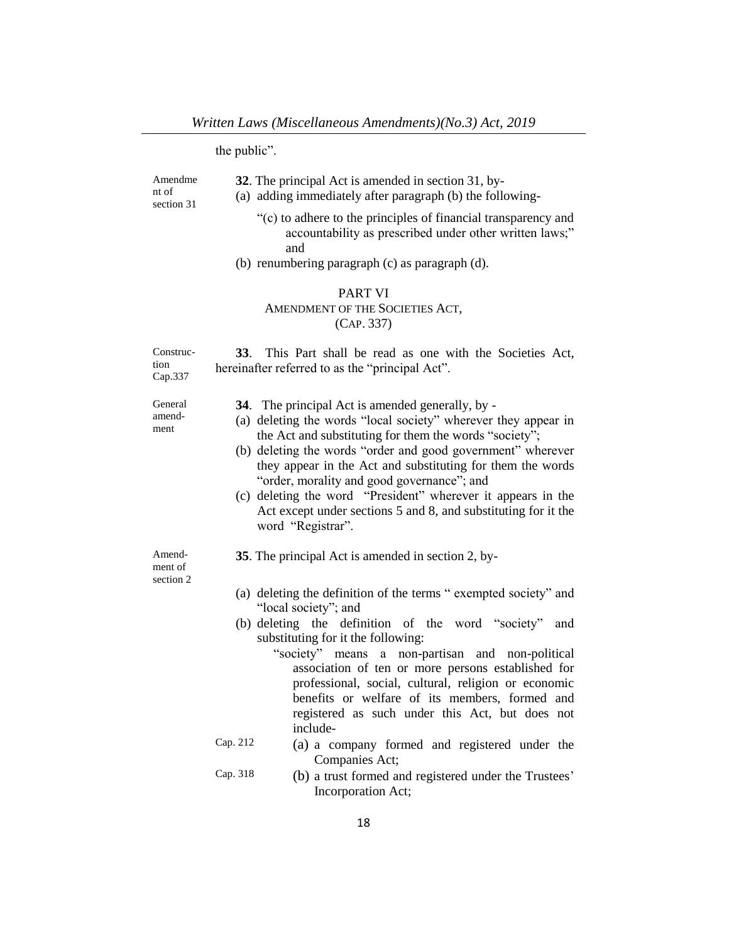the public".

| Amendme<br>nt of<br>section 31 | 32. The principal Act is amended in section 31, by-<br>(a) adding immediately after paragraph (b) the following-<br>"(c) to adhere to the principles of financial transparency and<br>accountability as prescribed under other written laws;"<br>and<br>(b) renumbering paragraph (c) as paragraph (d).<br><b>PART VI</b><br>AMENDMENT OF THE SOCIETIES ACT,<br>(CAP. 337)                                                                                                                                                                                                                                                                                                                                   |
|--------------------------------|--------------------------------------------------------------------------------------------------------------------------------------------------------------------------------------------------------------------------------------------------------------------------------------------------------------------------------------------------------------------------------------------------------------------------------------------------------------------------------------------------------------------------------------------------------------------------------------------------------------------------------------------------------------------------------------------------------------|
| Construc-<br>tion<br>Cap.337   | 33. This Part shall be read as one with the Societies Act,<br>hereinafter referred to as the "principal Act".                                                                                                                                                                                                                                                                                                                                                                                                                                                                                                                                                                                                |
| General<br>amend-<br>ment      | <b>34</b> . The principal Act is amended generally, by -<br>(a) deleting the words "local society" wherever they appear in<br>the Act and substituting for them the words "society";<br>(b) deleting the words "order and good government" wherever<br>they appear in the Act and substituting for them the words<br>"order, morality and good governance"; and<br>(c) deleting the word "President" wherever it appears in the<br>Act except under sections 5 and 8, and substituting for it the<br>word "Registrar".                                                                                                                                                                                       |
| Amend-<br>ment of<br>section 2 | 35. The principal Act is amended in section 2, by-<br>(a) deleting the definition of the terms "exempted society" and<br>"local society"; and<br>(b) deleting the definition of the word "society"<br>and<br>substituting for it the following:<br>"society" means a non-partisan and non-political<br>association of ten or more persons established for<br>professional, social, cultural, religion or economic<br>benefits or welfare of its members, formed and<br>registered as such under this Act, but does not<br>include-<br>Cap. 212<br>(a) a company formed and registered under the<br>Companies Act;<br>Cap. 318<br>(b) a trust formed and registered under the Trustees'<br>Incorporation Act; |
|                                |                                                                                                                                                                                                                                                                                                                                                                                                                                                                                                                                                                                                                                                                                                              |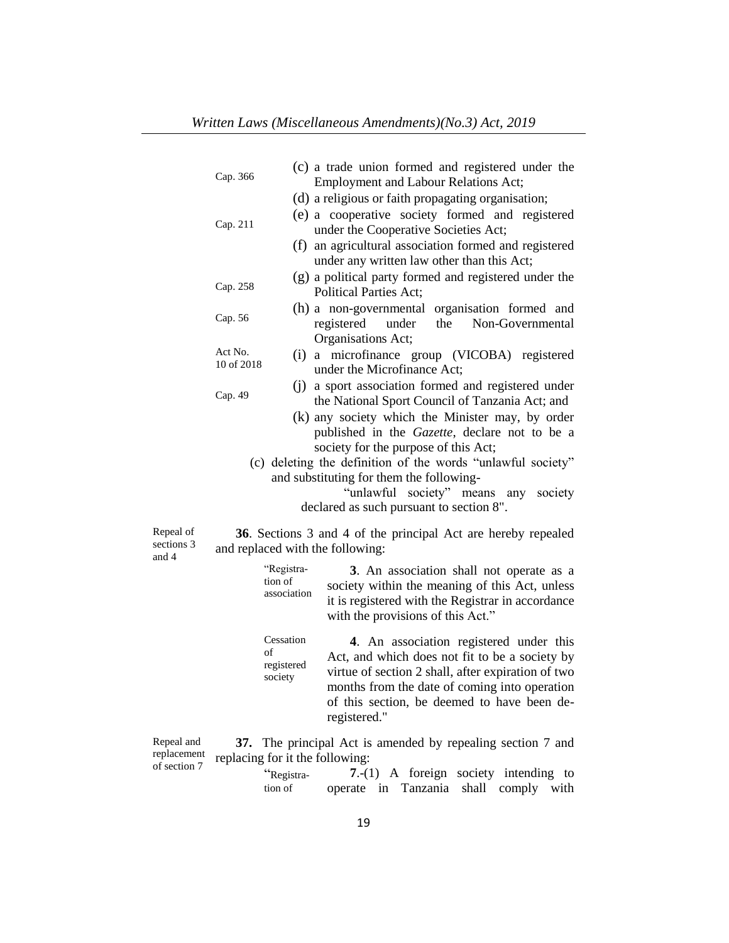|                                  | Cap. 366              |                                          | (c) a trade union formed and registered under the<br><b>Employment and Labour Relations Act;</b>                                                                                                                                                                                                                                               |
|----------------------------------|-----------------------|------------------------------------------|------------------------------------------------------------------------------------------------------------------------------------------------------------------------------------------------------------------------------------------------------------------------------------------------------------------------------------------------|
|                                  |                       |                                          | (d) a religious or faith propagating organisation;                                                                                                                                                                                                                                                                                             |
|                                  | Cap. 211              |                                          | (e) a cooperative society formed and registered<br>under the Cooperative Societies Act;                                                                                                                                                                                                                                                        |
|                                  |                       | (f)                                      | an agricultural association formed and registered<br>under any written law other than this Act;                                                                                                                                                                                                                                                |
|                                  | Cap. 258              |                                          | (g) a political party formed and registered under the<br><b>Political Parties Act;</b>                                                                                                                                                                                                                                                         |
|                                  | Cap. 56               |                                          | (h) a non-governmental organisation formed and<br>registered<br>under<br>the<br>Non-Governmental<br>Organisations Act;                                                                                                                                                                                                                         |
|                                  | Act No.<br>10 of 2018 |                                          | (i) a microfinance group (VICOBA) registered<br>under the Microfinance Act;                                                                                                                                                                                                                                                                    |
|                                  | Cap. 49               |                                          | (i) a sport association formed and registered under<br>the National Sport Council of Tanzania Act; and                                                                                                                                                                                                                                         |
|                                  |                       |                                          | (k) any society which the Minister may, by order<br>published in the Gazette, declare not to be a<br>society for the purpose of this Act;<br>(c) deleting the definition of the words "unlawful society"<br>and substituting for them the following-<br>"unlawful society" means<br>any<br>society<br>declared as such pursuant to section 8". |
| Repeal of<br>sections 3<br>and 4 |                       |                                          | 36. Sections 3 and 4 of the principal Act are hereby repealed<br>and replaced with the following:                                                                                                                                                                                                                                              |
|                                  |                       | "Registra-<br>tion of<br>association     | 3. An association shall not operate as a<br>society within the meaning of this Act, unless<br>it is registered with the Registrar in accordance<br>with the provisions of this Act."                                                                                                                                                           |
|                                  |                       | Cessation<br>of<br>registered<br>society | 4. An association registered under this<br>Act, and which does not fit to be a society by<br>virtue of section 2 shall, after expiration of two<br>months from the date of coming into operation<br>of this section, be deemed to have been de-<br>registered."                                                                                |

Repeal and replacement of section 7

**37.** The principal Act is amended by repealing section 7 and replacing for it the following:

"Registration of **7**.-(1) A foreign society intending to operate in Tanzania shall comply with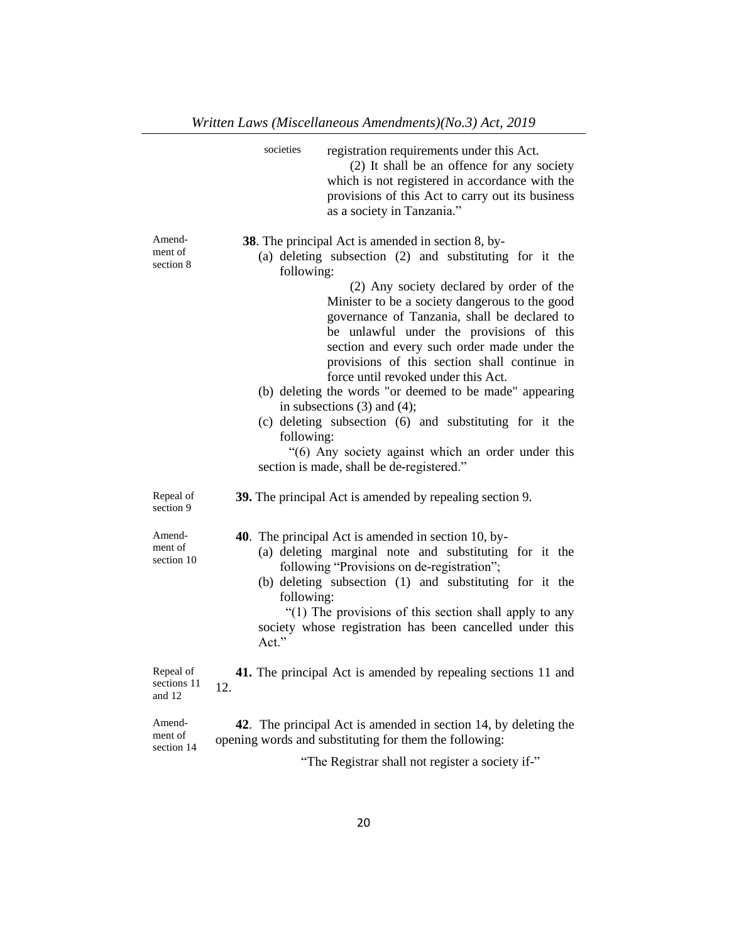|                                    | societies<br>registration requirements under this Act.<br>(2) It shall be an offence for any society<br>which is not registered in accordance with the<br>provisions of this Act to carry out its business<br>as a society in Tanzania."                                                                                                                                                                                                                                                                                                                                                                                                                                                                                                       |
|------------------------------------|------------------------------------------------------------------------------------------------------------------------------------------------------------------------------------------------------------------------------------------------------------------------------------------------------------------------------------------------------------------------------------------------------------------------------------------------------------------------------------------------------------------------------------------------------------------------------------------------------------------------------------------------------------------------------------------------------------------------------------------------|
| Amend-<br>ment of<br>section 8     | <b>38</b> . The principal Act is amended in section 8, by-<br>(a) deleting subsection (2) and substituting for it the<br>following:<br>(2) Any society declared by order of the<br>Minister to be a society dangerous to the good<br>governance of Tanzania, shall be declared to<br>be unlawful under the provisions of this<br>section and every such order made under the<br>provisions of this section shall continue in<br>force until revoked under this Act.<br>(b) deleting the words "or deemed to be made" appearing<br>in subsections $(3)$ and $(4)$ ;<br>(c) deleting subsection (6) and substituting for it the<br>following:<br>"(6) Any society against which an order under this<br>section is made, shall be de-registered." |
| Repeal of<br>section 9             | 39. The principal Act is amended by repealing section 9.                                                                                                                                                                                                                                                                                                                                                                                                                                                                                                                                                                                                                                                                                       |
| Amend-<br>ment of<br>section 10    | <b>40</b> . The principal Act is amended in section 10, by-<br>(a) deleting marginal note and substituting for it the<br>following "Provisions on de-registration";<br>(b) deleting subsection (1) and substituting for it the<br>following:<br>"(1) The provisions of this section shall apply to any<br>society whose registration has been cancelled under this<br>Act."                                                                                                                                                                                                                                                                                                                                                                    |
| Repeal of<br>sections 11<br>and 12 | 41. The principal Act is amended by repealing sections 11 and<br>12.                                                                                                                                                                                                                                                                                                                                                                                                                                                                                                                                                                                                                                                                           |
| Amend-<br>ment of<br>section 14    | 42. The principal Act is amended in section 14, by deleting the<br>opening words and substituting for them the following:<br>"The Registrar shall not register a society if-"                                                                                                                                                                                                                                                                                                                                                                                                                                                                                                                                                                  |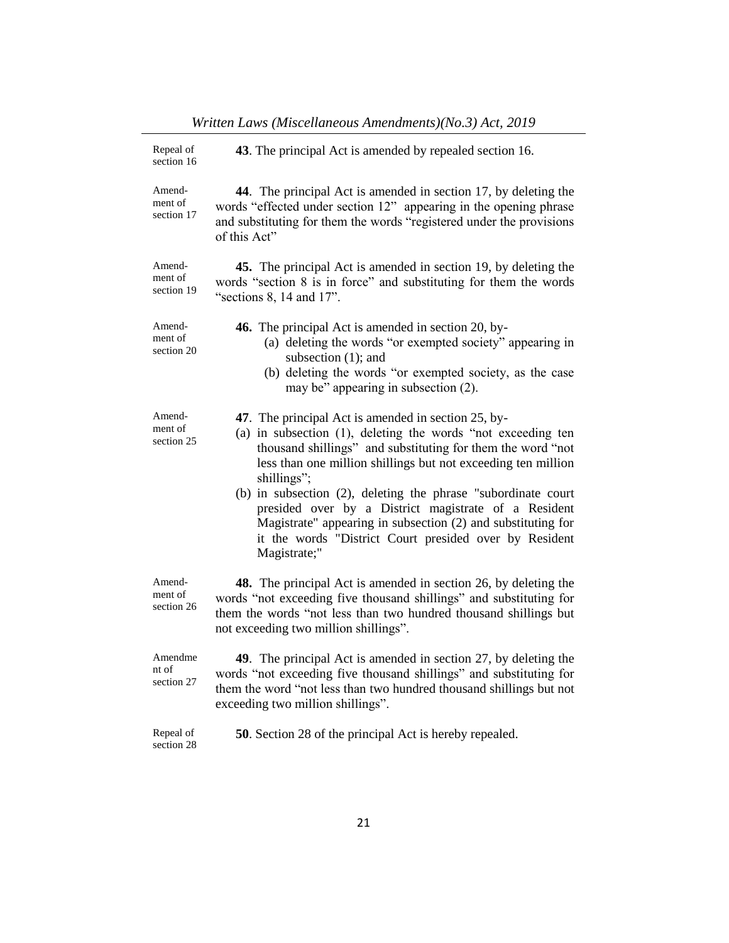| Repeal of<br>section 16         | 43. The principal Act is amended by repealed section 16.                                                                                                                                                                                                                                                                                                                                                                                                                                                                              |  |
|---------------------------------|---------------------------------------------------------------------------------------------------------------------------------------------------------------------------------------------------------------------------------------------------------------------------------------------------------------------------------------------------------------------------------------------------------------------------------------------------------------------------------------------------------------------------------------|--|
| Amend-<br>ment of<br>section 17 | 44. The principal Act is amended in section 17, by deleting the<br>words "effected under section 12" appearing in the opening phrase<br>and substituting for them the words "registered under the provisions<br>of this Act"                                                                                                                                                                                                                                                                                                          |  |
| Amend-<br>ment of<br>section 19 | 45. The principal Act is amended in section 19, by deleting the<br>words "section 8 is in force" and substituting for them the words<br>"sections $8$ , 14 and 17".                                                                                                                                                                                                                                                                                                                                                                   |  |
| Amend-<br>ment of<br>section 20 | 46. The principal Act is amended in section 20, by-<br>(a) deleting the words "or exempted society" appearing in<br>subsection (1); and<br>(b) deleting the words "or exempted society, as the case<br>may be" appearing in subsection (2).                                                                                                                                                                                                                                                                                           |  |
| Amend-<br>ment of<br>section 25 | 47. The principal Act is amended in section 25, by-<br>(a) in subsection (1), deleting the words "not exceeding ten<br>thousand shillings" and substituting for them the word "not<br>less than one million shillings but not exceeding ten million<br>shillings":<br>(b) in subsection (2), deleting the phrase "subordinate court<br>presided over by a District magistrate of a Resident<br>Magistrate" appearing in subsection (2) and substituting for<br>it the words "District Court presided over by Resident<br>Magistrate;" |  |
| Amend-<br>ment of<br>section 26 | 48. The principal Act is amended in section 26, by deleting the<br>words "not exceeding five thousand shillings" and substituting for<br>them the words "not less than two hundred thousand shillings but<br>not exceeding two million shillings".                                                                                                                                                                                                                                                                                    |  |
| Amendme<br>nt of<br>section 27  | 49. The principal Act is amended in section 27, by deleting the<br>words "not exceeding five thousand shillings" and substituting for<br>them the word "not less than two hundred thousand shillings but not<br>exceeding two million shillings".                                                                                                                                                                                                                                                                                     |  |
| Repeal of<br>section 28         | <b>50</b> . Section 28 of the principal Act is hereby repealed.                                                                                                                                                                                                                                                                                                                                                                                                                                                                       |  |

*Written Laws (Miscellaneous Amendments)(No.3) Act, 2019*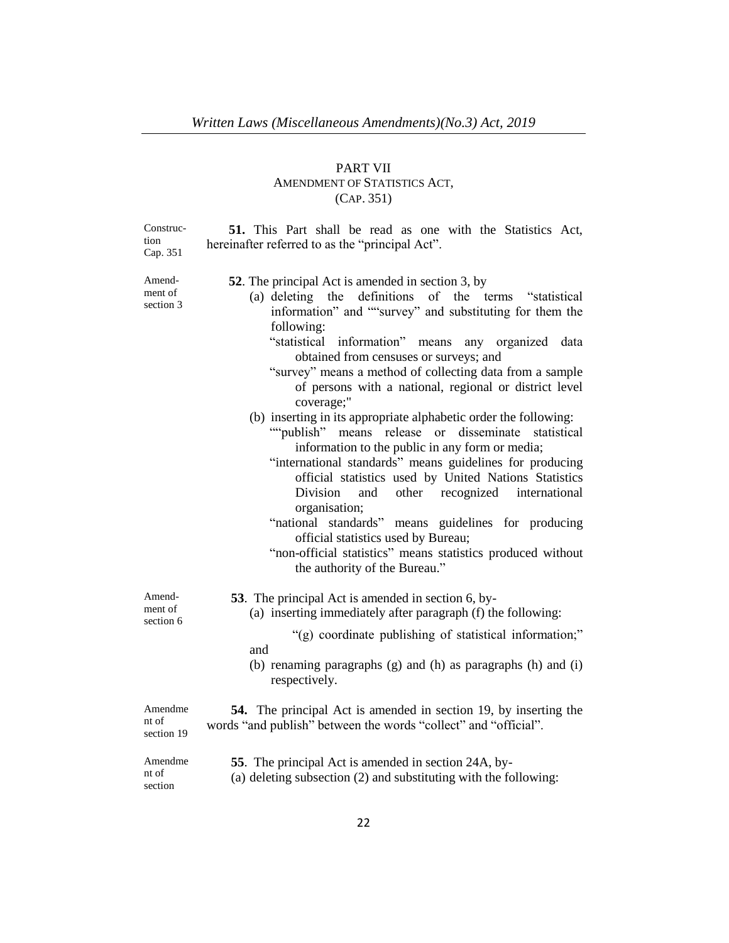# PART VII AMENDMENT OF STATISTICS ACT, (CAP. 351)

Construction Cap. 351

**51.** This Part shall be read as one with the Statistics Act, hereinafter referred to as the "principal Act".

| $\cup$ up. $\cup$ 1            |                                                                                                                                                                                                                                                                                                                                                                                                                                                                                                                                                                                                                                                                                                                                                                                                                                                                                                                                                                                                               |
|--------------------------------|---------------------------------------------------------------------------------------------------------------------------------------------------------------------------------------------------------------------------------------------------------------------------------------------------------------------------------------------------------------------------------------------------------------------------------------------------------------------------------------------------------------------------------------------------------------------------------------------------------------------------------------------------------------------------------------------------------------------------------------------------------------------------------------------------------------------------------------------------------------------------------------------------------------------------------------------------------------------------------------------------------------|
| Amend-<br>ment of<br>section 3 | <b>52.</b> The principal Act is amended in section 3, by<br>(a) deleting the definitions of the terms "statistical<br>information" and ""survey" and substituting for them the<br>following:<br>"statistical information" means any organized data<br>obtained from censuses or surveys; and<br>"survey" means a method of collecting data from a sample<br>of persons with a national, regional or district level<br>coverage;"<br>(b) inserting in its appropriate alphabetic order the following:<br>""publish" means release or<br>statistical<br>disseminate<br>information to the public in any form or media;<br>"international standards" means guidelines for producing<br>official statistics used by United Nations Statistics<br>and<br>other recognized international<br>Division<br>organisation;<br>"national standards" means guidelines for producing<br>official statistics used by Bureau;<br>"non-official statistics" means statistics produced without<br>the authority of the Bureau." |
| Amend-<br>ment of<br>section 6 | <b>53</b> . The principal Act is amended in section 6, by-<br>(a) inserting immediately after paragraph (f) the following:<br>"(g) coordinate publishing of statistical information;"<br>and<br>(b) renaming paragraphs (g) and (h) as paragraphs (h) and (i)<br>respectively.                                                                                                                                                                                                                                                                                                                                                                                                                                                                                                                                                                                                                                                                                                                                |
| Amendme<br>nt of<br>section 19 | <b>54.</b> The principal Act is amended in section 19, by inserting the<br>words "and publish" between the words "collect" and "official".                                                                                                                                                                                                                                                                                                                                                                                                                                                                                                                                                                                                                                                                                                                                                                                                                                                                    |
| Amendme<br>nt of<br>section    | 55. The principal Act is amended in section 24A, by-<br>(a) deleting subsection (2) and substituting with the following:                                                                                                                                                                                                                                                                                                                                                                                                                                                                                                                                                                                                                                                                                                                                                                                                                                                                                      |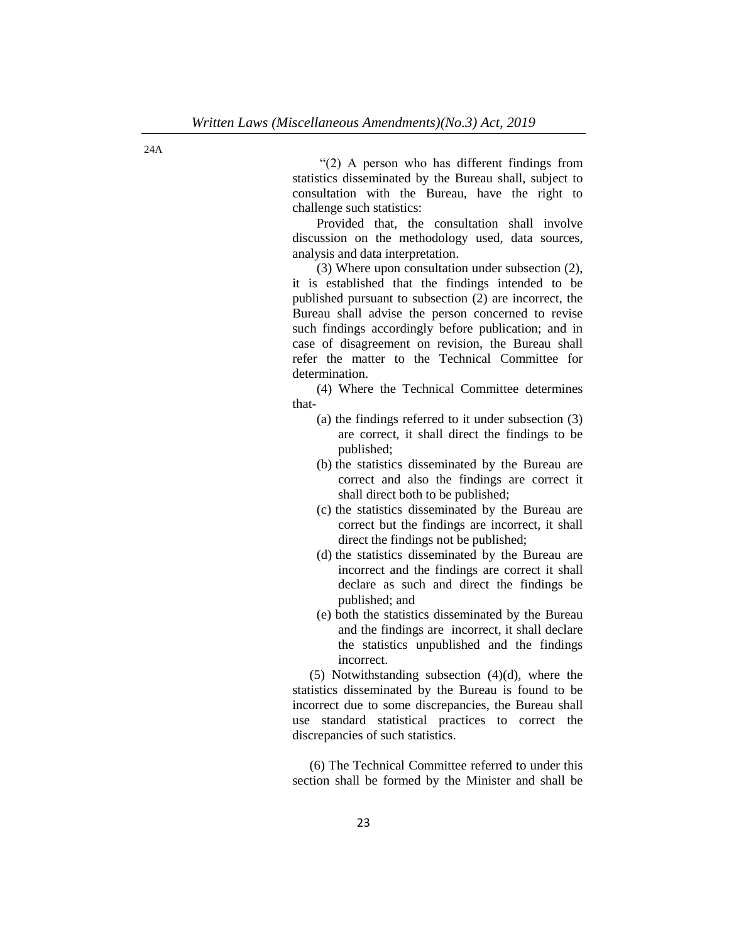"(2) A person who has different findings from statistics disseminated by the Bureau shall, subject to consultation with the Bureau, have the right to challenge such statistics:

Provided that, the consultation shall involve discussion on the methodology used, data sources, analysis and data interpretation.

(3) Where upon consultation under subsection (2), it is established that the findings intended to be published pursuant to subsection (2) are incorrect, the Bureau shall advise the person concerned to revise such findings accordingly before publication; and in case of disagreement on revision, the Bureau shall refer the matter to the Technical Committee for determination.

(4) Where the Technical Committee determines that-

- (a) the findings referred to it under subsection (3) are correct, it shall direct the findings to be published;
- (b) the statistics disseminated by the Bureau are correct and also the findings are correct it shall direct both to be published;
- (c) the statistics disseminated by the Bureau are correct but the findings are incorrect, it shall direct the findings not be published;
- (d) the statistics disseminated by the Bureau are incorrect and the findings are correct it shall declare as such and direct the findings be published; and
- (e) both the statistics disseminated by the Bureau and the findings are incorrect, it shall declare the statistics unpublished and the findings incorrect.

(5) Notwithstanding subsection (4)(d), where the statistics disseminated by the Bureau is found to be incorrect due to some discrepancies, the Bureau shall use standard statistical practices to correct the discrepancies of such statistics.

(6) The Technical Committee referred to under this section shall be formed by the Minister and shall be

24A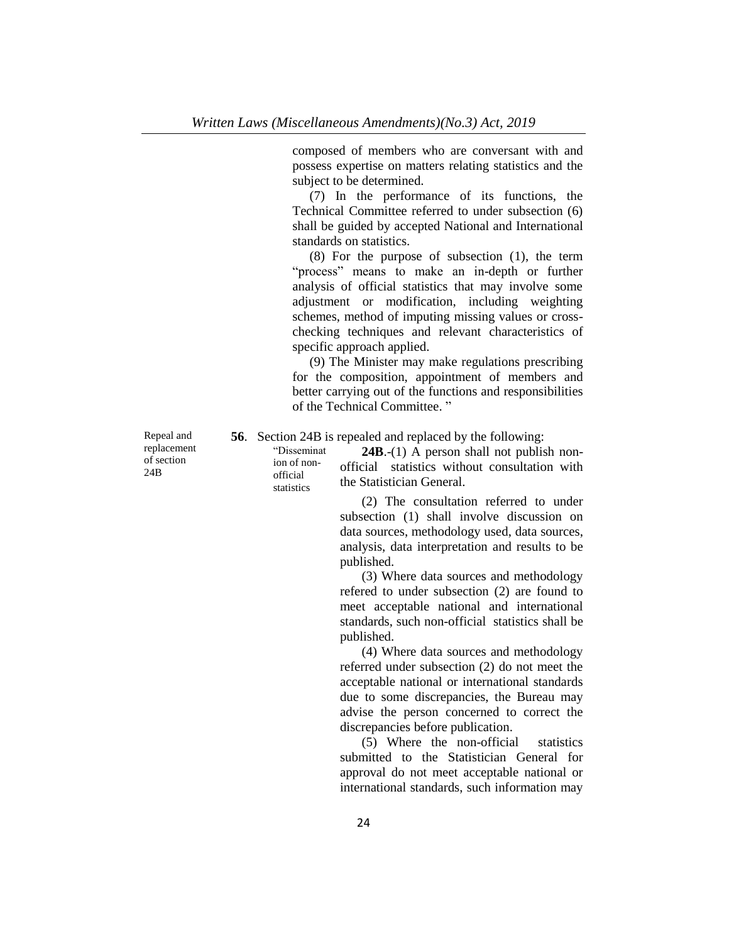composed of members who are conversant with and possess expertise on matters relating statistics and the subject to be determined.

(7) In the performance of its functions, the Technical Committee referred to under subsection (6) shall be guided by accepted National and International standards on statistics.

(8) For the purpose of subsection (1), the term "process" means to make an in-depth or further analysis of official statistics that may involve some adjustment or modification, including weighting schemes, method of imputing missing values or crosschecking techniques and relevant characteristics of specific approach applied.

(9) The Minister may make regulations prescribing for the composition, appointment of members and better carrying out of the functions and responsibilities of the Technical Committee. "

**56**. Section 24B is repealed and replaced by the following:

"Disseminat ion of nonofficial statistics

**24B**.-(1) A person shall not publish nonofficial statistics without consultation with the Statistician General.

(2) The consultation referred to under subsection (1) shall involve discussion on data sources, methodology used, data sources, analysis, data interpretation and results to be published.

(3) Where data sources and methodology refered to under subsection (2) are found to meet acceptable national and international standards, such non-official statistics shall be published.

(4) Where data sources and methodology referred under subsection (2) do not meet the acceptable national or international standards due to some discrepancies, the Bureau may advise the person concerned to correct the discrepancies before publication.

(5) Where the non-official statistics submitted to the Statistician General for approval do not meet acceptable national or international standards, such information may

Repeal and replacement of section 24B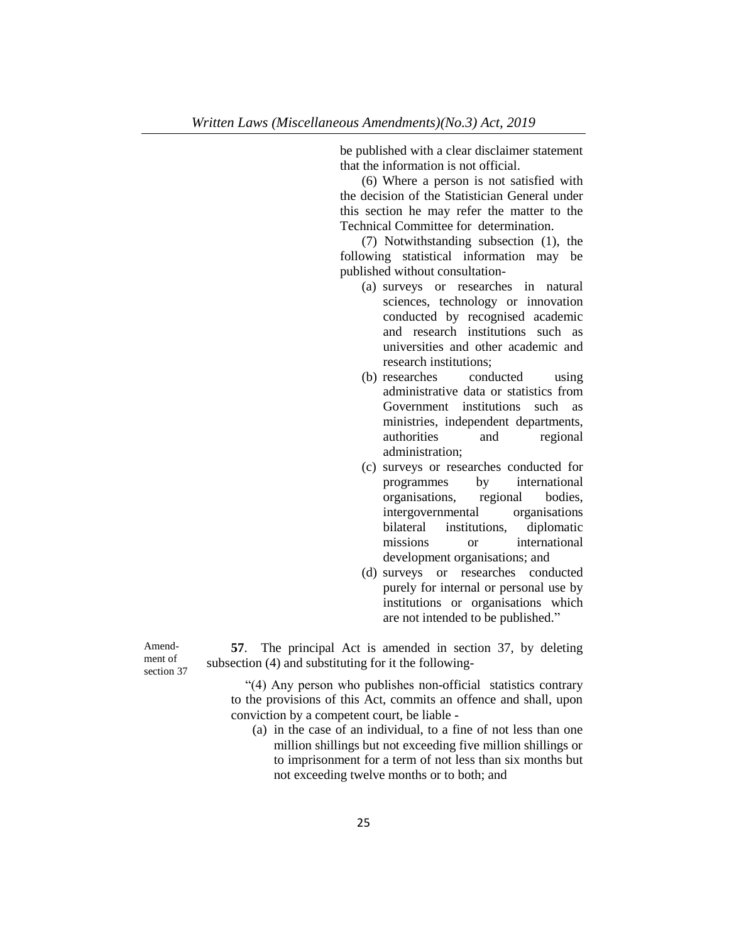be published with a clear disclaimer statement that the information is not official.

(6) Where a person is not satisfied with the decision of the Statistician General under this section he may refer the matter to the Technical Committee for determination.

(7) Notwithstanding subsection (1), the following statistical information may be published without consultation-

- (a) surveys or researches in natural sciences, technology or innovation conducted by recognised academic and research institutions such as universities and other academic and research institutions;
- (b) researches conducted using administrative data or statistics from Government institutions such as ministries, independent departments, authorities and regional administration;
- (c) surveys or researches conducted for programmes by international organisations, regional bodies, intergovernmental organisations bilateral institutions, diplomatic missions or international development organisations; and
- (d) surveys or researches conducted purely for internal or personal use by institutions or organisations which are not intended to be published."

Amendment of section 37

**57**. The principal Act is amended in section 37, by deleting subsection (4) and substituting for it the following-

"(4) Any person who publishes non-official statistics contrary to the provisions of this Act, commits an offence and shall, upon conviction by a competent court, be liable -

(a) in the case of an individual, to a fine of not less than one million shillings but not exceeding five million shillings or to imprisonment for a term of not less than six months but not exceeding twelve months or to both; and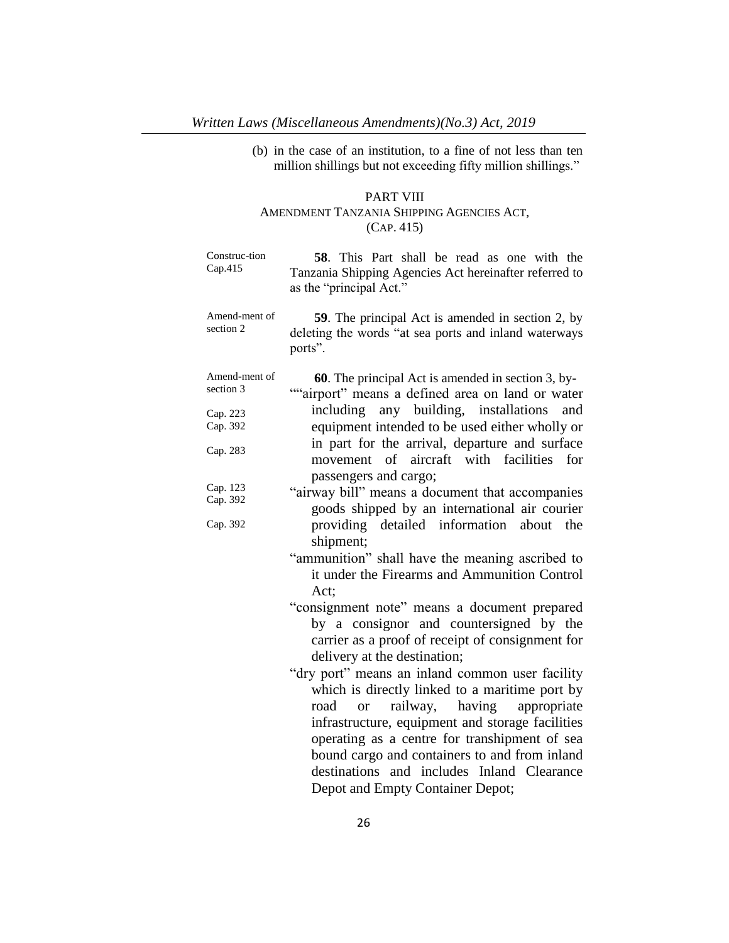(b) in the case of an institution, to a fine of not less than ten million shillings but not exceeding fifty million shillings."

## PART VIII

# AMENDMENT TANZANIA SHIPPING AGENCIES ACT, (CAP. 415)

| Construc-tion<br>Cap.415   | 58. This Part shall be read as one with the<br>Tanzania Shipping Agencies Act hereinafter referred to<br>as the "principal Act." |
|----------------------------|----------------------------------------------------------------------------------------------------------------------------------|
| Amend-ment of<br>section 2 | <b>59.</b> The principal Act is amended in section 2, by<br>deleting the words "at sea ports and inland waterways<br>ports".     |
| Amend-ment of<br>section 3 | <b>60.</b> The principal Act is amended in section 3, by-<br>""airport" means a defined area on land or water                    |
| Cap. 223<br>Cap. 392       | including any building, installations<br>and<br>equipment intended to be used either wholly or                                   |
| Cap. 283                   | in part for the arrival, departure and surface<br>movement of aircraft with facilities<br>for<br>passengers and cargo;           |
| Cap. 123                   |                                                                                                                                  |
| Cap. 392                   | "airway bill" means a document that accompanies<br>goods shipped by an international air courier                                 |
| Cap. 392                   | providing detailed information about the<br>shipment;                                                                            |
|                            | "ammunition" shall have the meaning ascribed to<br>it under the Firearms and Ammunition Control<br>Act;                          |
|                            | "consignment note" means a document prepared                                                                                     |
|                            | by a consignor and countersigned by the                                                                                          |
|                            | carrier as a proof of receipt of consignment for                                                                                 |
|                            | delivery at the destination;                                                                                                     |
|                            | "dry port" means an inland common user facility                                                                                  |
|                            | which is directly linked to a maritime port by                                                                                   |
|                            | appropriate<br>having<br>road<br>railway,<br><sub>or</sub>                                                                       |
|                            | infrastructure, equipment and storage facilities                                                                                 |
|                            | operating as a centre for transhipment of sea                                                                                    |
|                            | bound cargo and containers to and from inland                                                                                    |
|                            | destinations and includes Inland Clearance                                                                                       |
|                            | Depot and Empty Container Depot;                                                                                                 |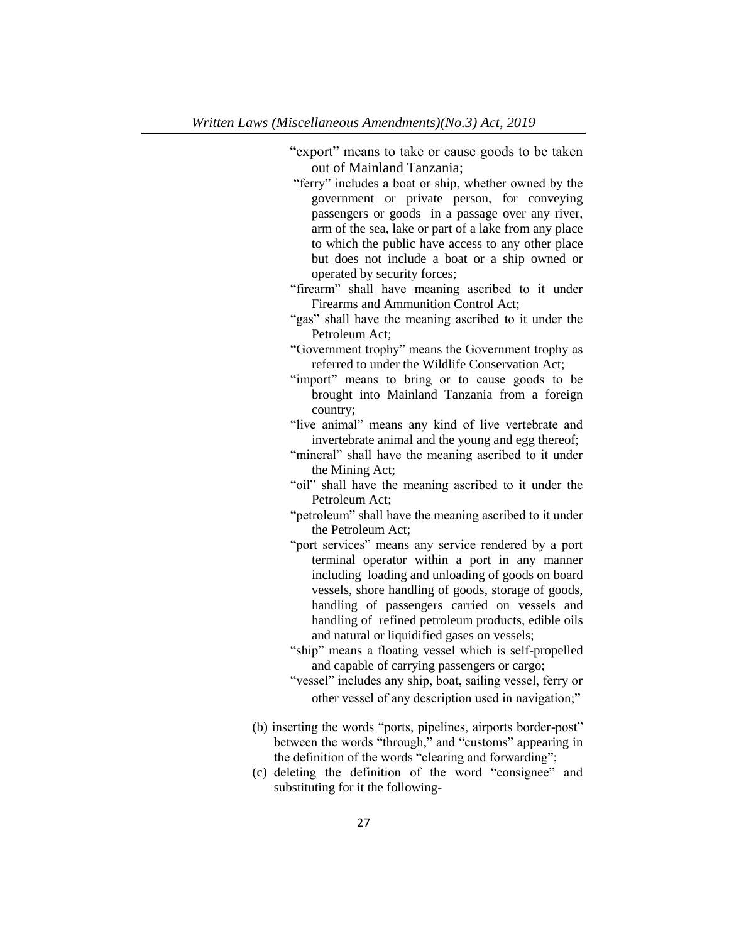"export" means to take or cause goods to be taken out of Mainland Tanzania;

- "ferry" includes a boat or ship, whether owned by the government or private person, for conveying passengers or goods in a passage over any river, arm of the sea, lake or part of a lake from any place to which the public have access to any other place but does not include a boat or a ship owned or operated by security forces;
- "firearm" shall have meaning ascribed to it under Firearms and Ammunition Control Act;
- "gas" shall have the meaning ascribed to it under the Petroleum Act;
- "Government trophy" means the Government trophy as referred to under the Wildlife Conservation Act;
- "import" means to bring or to cause goods to be brought into Mainland Tanzania from a foreign country;
- "live animal" means any kind of live vertebrate and invertebrate animal and the young and egg thereof;
- "mineral" shall have the meaning ascribed to it under the Mining Act;
- "oil" shall have the meaning ascribed to it under the Petroleum Act;
- "petroleum" shall have the meaning ascribed to it under the Petroleum Act;
- "port services" means any service rendered by a port terminal operator within a port in any manner including loading and unloading of goods on board vessels, shore handling of goods, storage of goods, handling of passengers carried on vessels and handling of refined petroleum products, edible oils and natural or liquidified gases on vessels;
- "ship" means a floating vessel which is self-propelled and capable of carrying passengers or cargo;
- "vessel" includes any ship, boat, sailing vessel, ferry or other vessel of any description used in navigation;"
- (b) inserting the words "ports, pipelines, airports border-post" between the words "through," and "customs" appearing in the definition of the words "clearing and forwarding";
- (c) deleting the definition of the word "consignee" and substituting for it the following-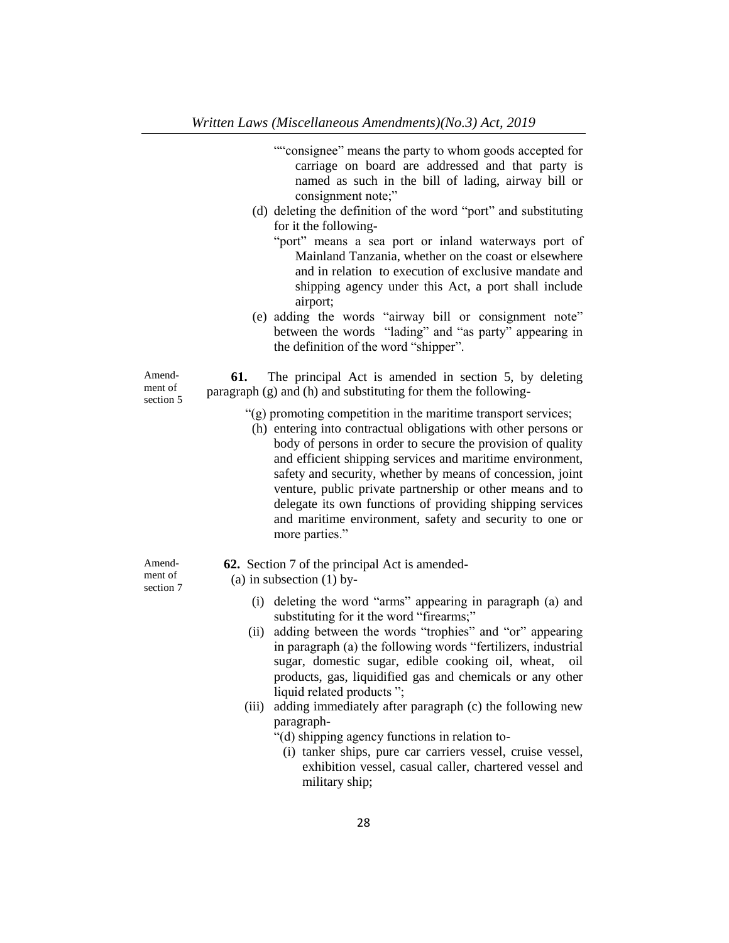- ""consignee" means the party to whom goods accepted for carriage on board are addressed and that party is named as such in the bill of lading, airway bill or consignment note;"
- (d) deleting the definition of the word "port" and substituting for it the following-
	- "port" means a sea port or inland waterways port of Mainland Tanzania, whether on the coast or elsewhere and in relation to execution of exclusive mandate and shipping agency under this Act, a port shall include airport;
- (e) adding the words "airway bill or consignment note" between the words"lading" and "as party" appearing in the definition of the word "shipper".

Amendment of section 5

**61.** The principal Act is amended in section 5, by deleting paragraph (g) and (h) and substituting for them the following-

- "(g) promoting competition in the maritime transport services;
- (h) entering into contractual obligations with other persons or body of persons in order to secure the provision of quality and efficient shipping services and maritime environment, safety and security, whether by means of concession, joint venture, public private partnership or other means and to delegate its own functions of providing shipping services and maritime environment, safety and security to one or more parties."
- **62.** Section 7 of the principal Act is amended-
- (a) in subsection  $(1)$  by-
	- (i) deleting the word "arms" appearing in paragraph (a) and substituting for it the word "firearms;"
	- (ii) adding between the words "trophies" and "or" appearing in paragraph (a) the following words "fertilizers, industrial sugar, domestic sugar, edible cooking oil, wheat, oil products, gas, liquidified gas and chemicals or any other liquid related products ";
	- (iii) adding immediately after paragraph (c) the following new paragraph-
		- "(d) shipping agency functions in relation to-
			- (i) tanker ships, pure car carriers vessel, cruise vessel, exhibition vessel, casual caller, chartered vessel and military ship;

Amendment of section 7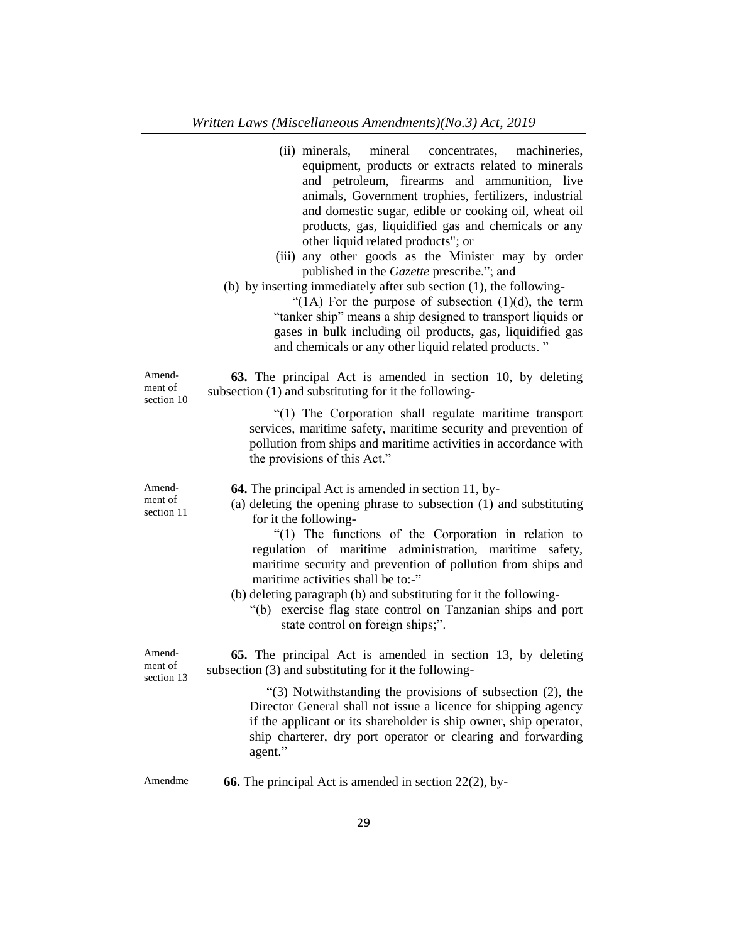|                                 | (ii) minerals, mineral concentrates, machineries,<br>equipment, products or extracts related to minerals<br>and petroleum, firearms and ammunition, live<br>animals, Government trophies, fertilizers, industrial<br>and domestic sugar, edible or cooking oil, wheat oil<br>products, gas, liquidified gas and chemicals or any<br>other liquid related products"; or<br>(iii) any other goods as the Minister may by order<br>published in the Gazette prescribe."; and<br>(b) by inserting immediately after sub section $(1)$ , the following-<br>"(1A) For the purpose of subsection $(1)(d)$ , the term<br>"tanker ship" means a ship designed to transport liquids or<br>gases in bulk including oil products, gas, liquidified gas<br>and chemicals or any other liquid related products." |
|---------------------------------|----------------------------------------------------------------------------------------------------------------------------------------------------------------------------------------------------------------------------------------------------------------------------------------------------------------------------------------------------------------------------------------------------------------------------------------------------------------------------------------------------------------------------------------------------------------------------------------------------------------------------------------------------------------------------------------------------------------------------------------------------------------------------------------------------|
| Amend-<br>ment of<br>section 10 | 63. The principal Act is amended in section 10, by deleting<br>subsection (1) and substituting for it the following-                                                                                                                                                                                                                                                                                                                                                                                                                                                                                                                                                                                                                                                                               |
|                                 | "(1) The Corporation shall regulate maritime transport<br>services, maritime safety, maritime security and prevention of<br>pollution from ships and maritime activities in accordance with<br>the provisions of this Act."                                                                                                                                                                                                                                                                                                                                                                                                                                                                                                                                                                        |
| Amend-<br>ment of<br>section 11 | <b>64.</b> The principal Act is amended in section 11, by-<br>(a) deleting the opening phrase to subsection (1) and substituting<br>for it the following-<br>"(1) The functions of the Corporation in relation to<br>regulation of maritime administration, maritime safety,<br>maritime security and prevention of pollution from ships and<br>maritime activities shall be to:-"<br>(b) deleting paragraph (b) and substituting for it the following-<br>"(b) exercise flag state control on Tanzanian ships and port<br>state control on foreign ships;".                                                                                                                                                                                                                                       |
| Amend-<br>ment of<br>section 13 | 65. The principal Act is amended in section 13, by deleting<br>subsection (3) and substituting for it the following-                                                                                                                                                                                                                                                                                                                                                                                                                                                                                                                                                                                                                                                                               |
|                                 | " $(3)$ Notwithstanding the provisions of subsection $(2)$ , the<br>Director General shall not issue a licence for shipping agency<br>if the applicant or its shareholder is ship owner, ship operator,<br>ship charterer, dry port operator or clearing and forwarding<br>agent."                                                                                                                                                                                                                                                                                                                                                                                                                                                                                                                 |
| Amendme                         | <b>66.</b> The principal Act is amended in section $22(2)$ , by-                                                                                                                                                                                                                                                                                                                                                                                                                                                                                                                                                                                                                                                                                                                                   |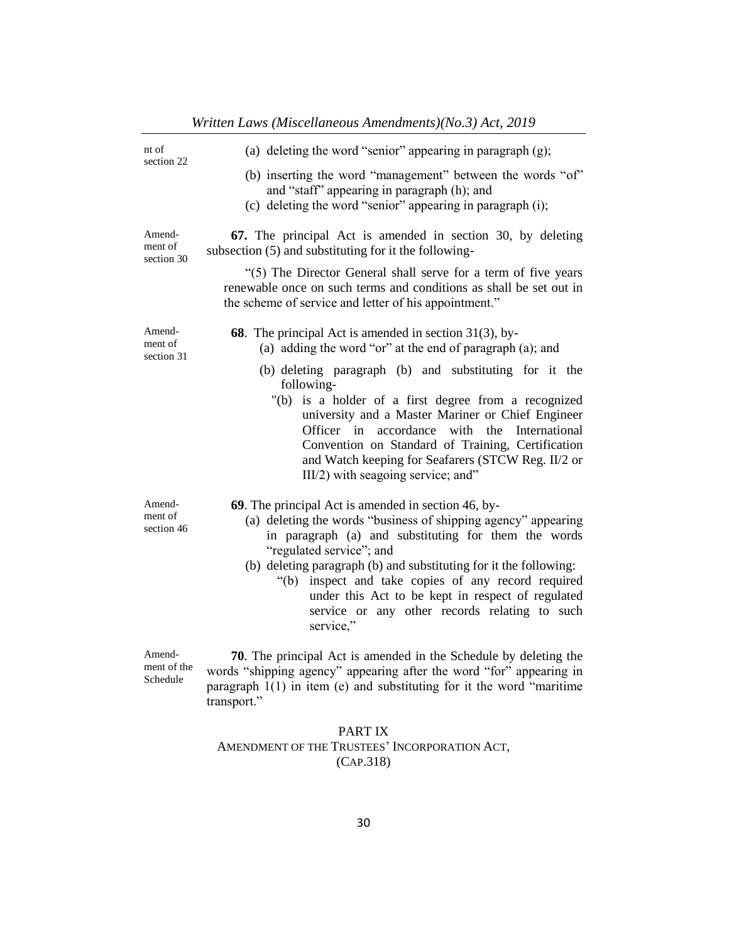| nt of<br>section 22               | (a) deleting the word "senior" appearing in paragraph $(g)$ ;                                                                                                                                                                                                                                                                                                                                                                                            |
|-----------------------------------|----------------------------------------------------------------------------------------------------------------------------------------------------------------------------------------------------------------------------------------------------------------------------------------------------------------------------------------------------------------------------------------------------------------------------------------------------------|
|                                   | (b) inserting the word "management" between the words "of"<br>and "staff" appearing in paragraph (h); and<br>(c) deleting the word "senior" appearing in paragraph $(i)$ ;                                                                                                                                                                                                                                                                               |
| Amend-<br>ment of<br>section 30   | 67. The principal Act is amended in section 30, by deleting<br>subsection (5) and substituting for it the following-                                                                                                                                                                                                                                                                                                                                     |
|                                   | "(5) The Director General shall serve for a term of five years<br>renewable once on such terms and conditions as shall be set out in<br>the scheme of service and letter of his appointment."                                                                                                                                                                                                                                                            |
| Amend-<br>ment of<br>section 31   | 68. The principal Act is amended in section 31(3), by-<br>(a) adding the word "or" at the end of paragraph (a); and                                                                                                                                                                                                                                                                                                                                      |
|                                   | (b) deleting paragraph (b) and substituting for it the<br>following-<br>"(b) is a holder of a first degree from a recognized<br>university and a Master Mariner or Chief Engineer<br>Officer in accordance with the International<br>Convention on Standard of Training, Certification<br>and Watch keeping for Seafarers (STCW Reg. II/2 or<br>III/2) with seagoing service; and"                                                                       |
| Amend-<br>ment of<br>section 46   | 69. The principal Act is amended in section 46, by-<br>(a) deleting the words "business of shipping agency" appearing<br>in paragraph (a) and substituting for them the words<br>"regulated service"; and<br>(b) deleting paragraph (b) and substituting for it the following:<br>"(b) inspect and take copies of any record required<br>under this Act to be kept in respect of regulated<br>service or any other records relating to such<br>service," |
| Amend-<br>ment of the<br>Schedule | 70. The principal Act is amended in the Schedule by deleting the<br>words "shipping agency" appearing after the word "for" appearing in<br>paragraph $1(1)$ in item (e) and substituting for it the word "maritime<br>transport."                                                                                                                                                                                                                        |

# *Written Laws (Miscellaneous Amendments)(No.3) Act, 2019*

# PART IX AMENDMENT OF THE TRUSTEES' INCORPORATION ACT, (CAP.318)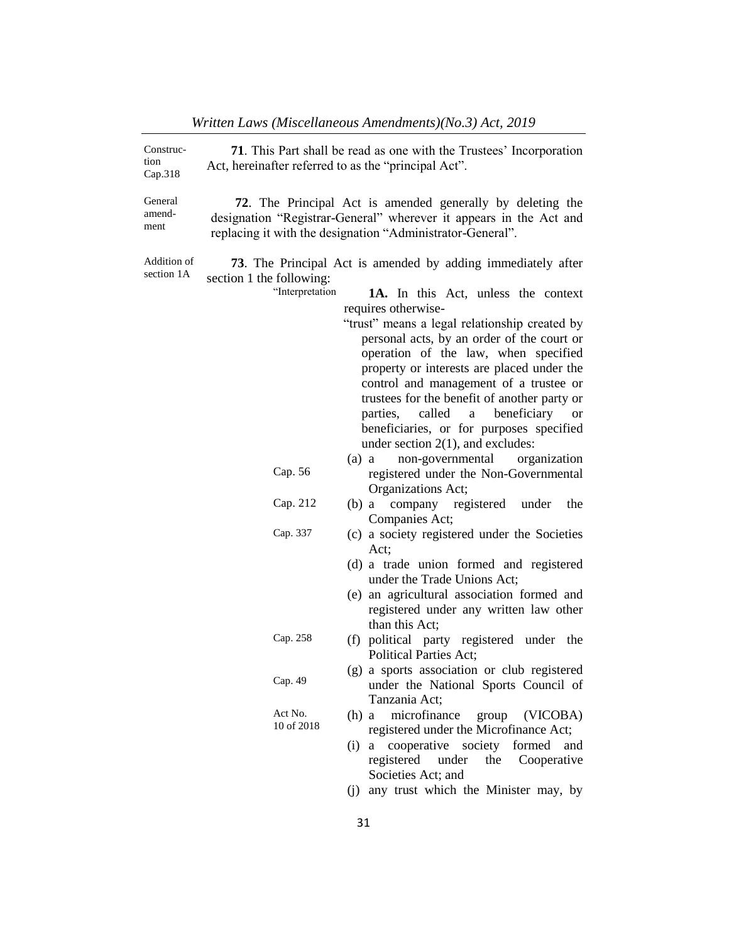| Construc-<br>tion<br>Cap.318 | <b>71</b> . This Part shall be read as one with the Trustees' Incorporation<br>Act, hereinafter referred to as the "principal Act". |                                                                                                                                                                                                                                                                                                                                                                                                                                                                  |  |
|------------------------------|-------------------------------------------------------------------------------------------------------------------------------------|------------------------------------------------------------------------------------------------------------------------------------------------------------------------------------------------------------------------------------------------------------------------------------------------------------------------------------------------------------------------------------------------------------------------------------------------------------------|--|
| General<br>amend-<br>ment    |                                                                                                                                     | <b>72.</b> The Principal Act is amended generally by deleting the<br>designation "Registrar-General" wherever it appears in the Act and<br>replacing it with the designation "Administrator-General".                                                                                                                                                                                                                                                            |  |
| Addition of<br>section 1A    | section 1 the following:<br>"Interpretation                                                                                         | 73. The Principal Act is amended by adding immediately after<br>1A. In this Act, unless the context<br>requires otherwise-<br>"trust" means a legal relationship created by<br>personal acts, by an order of the court or<br>operation of the law, when specified<br>property or interests are placed under the<br>control and management of a trustee or<br>trustees for the benefit of another party or<br>called<br>beneficiary<br>parties,<br>a<br><b>or</b> |  |
|                              |                                                                                                                                     | beneficiaries, or for purposes specified<br>under section $2(1)$ , and excludes:                                                                                                                                                                                                                                                                                                                                                                                 |  |
|                              | Cap. 56                                                                                                                             | non-governmental<br>$(a)$ a<br>organization<br>registered under the Non-Governmental<br>Organizations Act;                                                                                                                                                                                                                                                                                                                                                       |  |
|                              | Cap. 212                                                                                                                            | company registered<br>the<br>$(b)$ a<br>under<br>Companies Act;                                                                                                                                                                                                                                                                                                                                                                                                  |  |
|                              | Cap. 337                                                                                                                            | (c) a society registered under the Societies<br>Act;<br>(d) a trade union formed and registered<br>under the Trade Unions Act;<br>(e) an agricultural association formed and<br>registered under any written law other<br>than this Act;                                                                                                                                                                                                                         |  |
|                              | Cap. 258                                                                                                                            | (f) political party registered under the<br><b>Political Parties Act;</b>                                                                                                                                                                                                                                                                                                                                                                                        |  |
|                              | Cap. 49                                                                                                                             | (g) a sports association or club registered<br>under the National Sports Council of<br>Tanzania Act;                                                                                                                                                                                                                                                                                                                                                             |  |
|                              | Act No.<br>10 of 2018                                                                                                               | microfinance group (VICOBA)<br>$(h)$ a<br>registered under the Microfinance Act;<br>cooperative society formed<br>and<br>$(i)$ a<br>registered under<br>the Cooperative<br>Societies Act; and<br>any trust which the Minister may, by<br>(i)                                                                                                                                                                                                                     |  |

*Written Laws (Miscellaneous Amendments)(No.3) Act, 2019*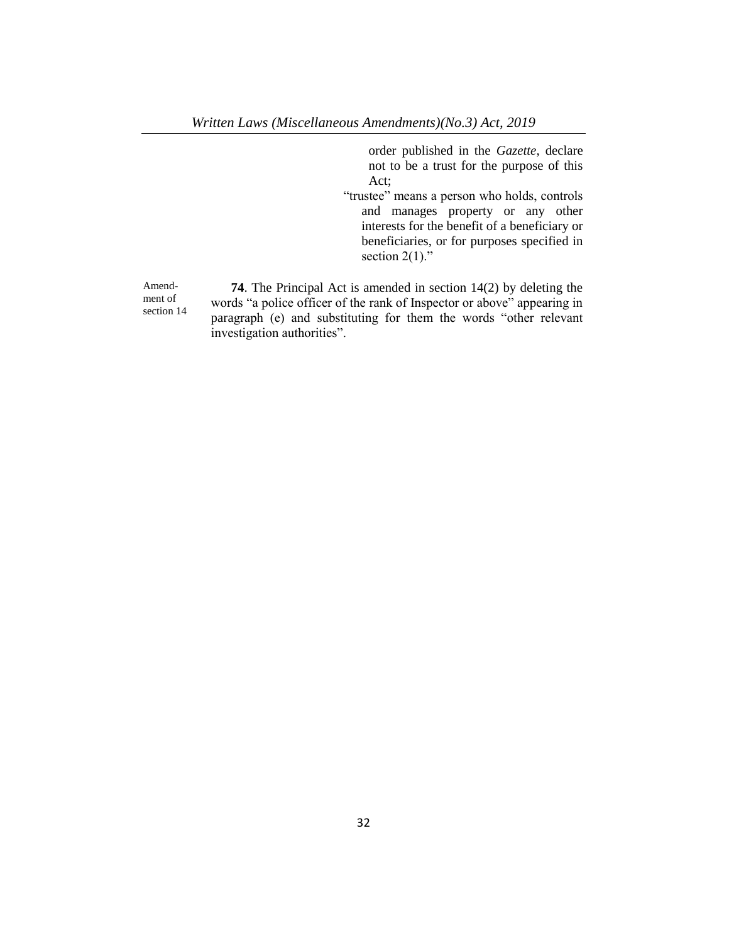order published in the *Gazette*, declare not to be a trust for the purpose of this Act;

"trustee" means a person who holds, controls and manages property or any other interests for the benefit of a beneficiary or beneficiaries, or for purposes specified in section  $2(1)$ ."

Amendment of section 14

**74**. The Principal Act is amended in section 14(2) by deleting the words "a police officer of the rank of Inspector or above" appearing in paragraph (e) and substituting for them the words "other relevant investigation authorities".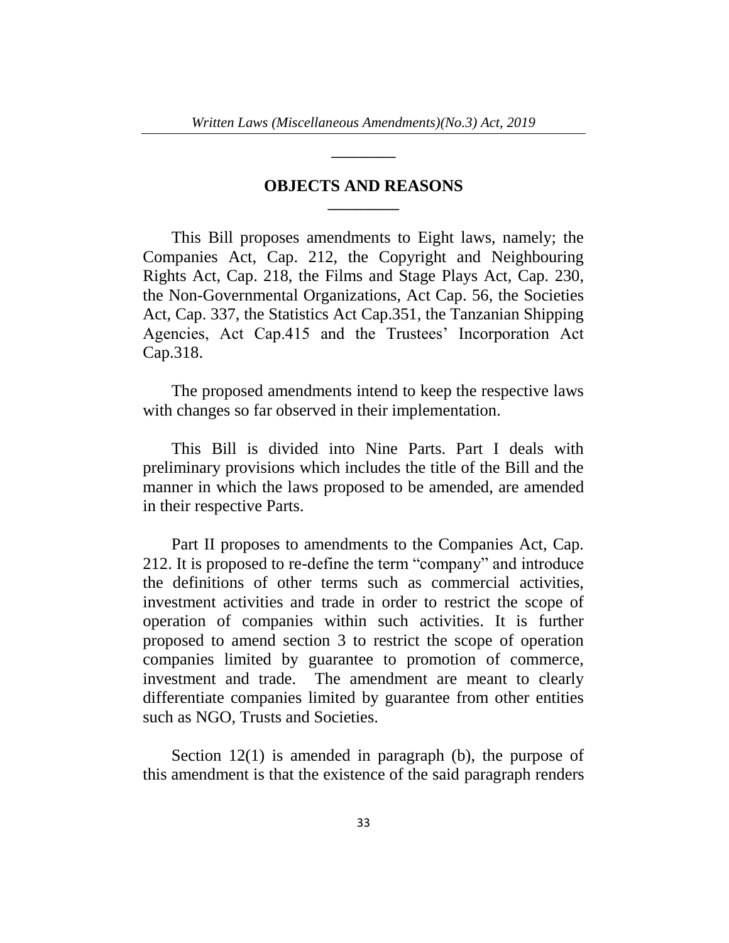**\_\_\_\_\_\_\_\_\_**

# **OBJECTS AND REASONS \_\_\_\_\_\_\_\_\_\_**

This Bill proposes amendments to Eight laws, namely; the Companies Act, Cap. 212, the Copyright and Neighbouring Rights Act, Cap. 218, the Films and Stage Plays Act, Cap. 230, the Non-Governmental Organizations, Act Cap. 56, the Societies Act, Cap. 337, the Statistics Act Cap.351, the Tanzanian Shipping Agencies, Act Cap.415 and the Trustees' Incorporation Act Cap.318.

The proposed amendments intend to keep the respective laws with changes so far observed in their implementation.

This Bill is divided into Nine Parts. Part I deals with preliminary provisions which includes the title of the Bill and the manner in which the laws proposed to be amended, are amended in their respective Parts.

Part II proposes to amendments to the Companies Act, Cap. 212. It is proposed to re-define the term "company" and introduce the definitions of other terms such as commercial activities, investment activities and trade in order to restrict the scope of operation of companies within such activities. It is further proposed to amend section 3 to restrict the scope of operation companies limited by guarantee to promotion of commerce, investment and trade. The amendment are meant to clearly differentiate companies limited by guarantee from other entities such as NGO, Trusts and Societies.

Section 12(1) is amended in paragraph (b), the purpose of this amendment is that the existence of the said paragraph renders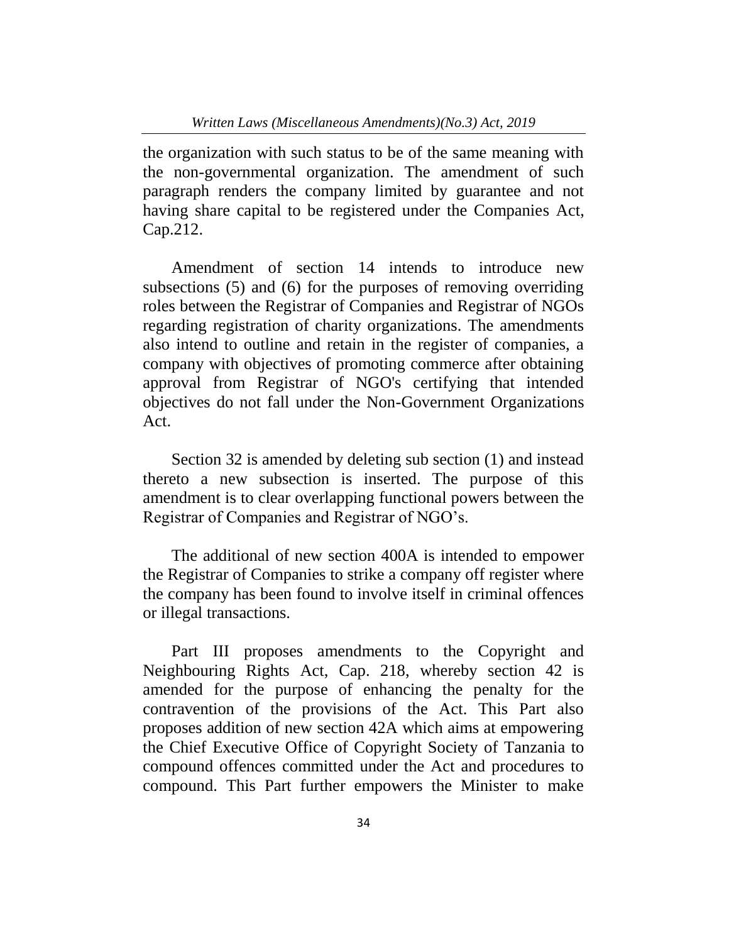the organization with such status to be of the same meaning with the non-governmental organization. The amendment of such paragraph renders the company limited by guarantee and not having share capital to be registered under the Companies Act, Cap.212.

Amendment of section 14 intends to introduce new subsections (5) and (6) for the purposes of removing overriding roles between the Registrar of Companies and Registrar of NGOs regarding registration of charity organizations. The amendments also intend to outline and retain in the register of companies, a company with objectives of promoting commerce after obtaining approval from Registrar of NGO's certifying that intended objectives do not fall under the Non-Government Organizations Act.

Section 32 is amended by deleting sub section (1) and instead thereto a new subsection is inserted. The purpose of this amendment is to clear overlapping functional powers between the Registrar of Companies and Registrar of NGO's.

The additional of new section 400A is intended to empower the Registrar of Companies to strike a company off register where the company has been found to involve itself in criminal offences or illegal transactions.

Part III proposes amendments to the Copyright and Neighbouring Rights Act, Cap. 218, whereby section 42 is amended for the purpose of enhancing the penalty for the contravention of the provisions of the Act. This Part also proposes addition of new section 42A which aims at empowering the Chief Executive Office of Copyright Society of Tanzania to compound offences committed under the Act and procedures to compound. This Part further empowers the Minister to make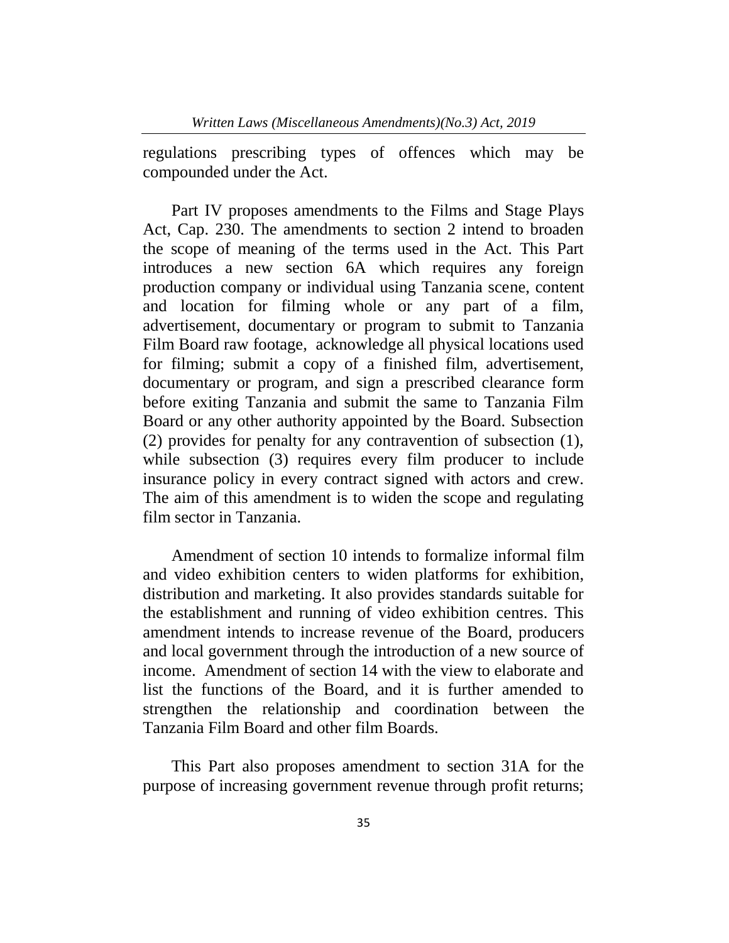regulations prescribing types of offences which may be compounded under the Act.

Part IV proposes amendments to the Films and Stage Plays Act, Cap. 230. The amendments to section 2 intend to broaden the scope of meaning of the terms used in the Act. This Part introduces a new section 6A which requires any foreign production company or individual using Tanzania scene, content and location for filming whole or any part of a film, advertisement, documentary or program to submit to Tanzania Film Board raw footage, acknowledge all physical locations used for filming; submit a copy of a finished film, advertisement, documentary or program, and sign a prescribed clearance form before exiting Tanzania and submit the same to Tanzania Film Board or any other authority appointed by the Board. Subsection (2) provides for penalty for any contravention of subsection (1), while subsection (3) requires every film producer to include insurance policy in every contract signed with actors and crew. The aim of this amendment is to widen the scope and regulating film sector in Tanzania.

Amendment of section 10 intends to formalize informal film and video exhibition centers to widen platforms for exhibition, distribution and marketing. It also provides standards suitable for the establishment and running of video exhibition centres. This amendment intends to increase revenue of the Board, producers and local government through the introduction of a new source of income. Amendment of section 14 with the view to elaborate and list the functions of the Board, and it is further amended to strengthen the relationship and coordination between the Tanzania Film Board and other film Boards.

This Part also proposes amendment to section 31A for the purpose of increasing government revenue through profit returns;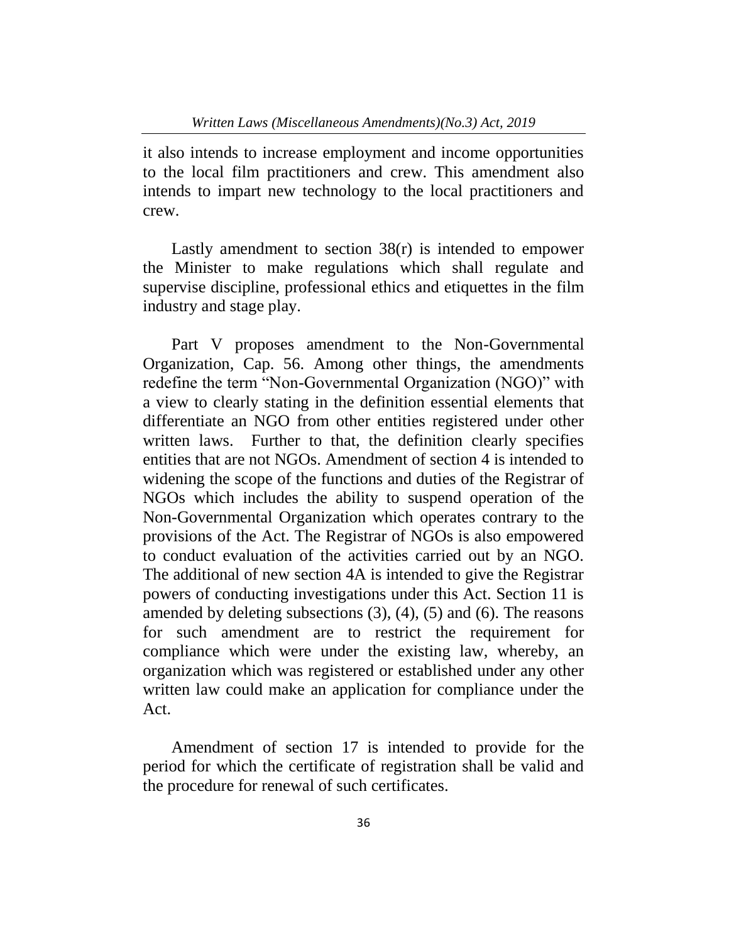it also intends to increase employment and income opportunities to the local film practitioners and crew. This amendment also intends to impart new technology to the local practitioners and crew.

Lastly amendment to section 38(r) is intended to empower the Minister to make regulations which shall regulate and supervise discipline, professional ethics and etiquettes in the film industry and stage play.

Part V proposes amendment to the Non-Governmental Organization, Cap. 56. Among other things, the amendments redefine the term "Non-Governmental Organization (NGO)" with a view to clearly stating in the definition essential elements that differentiate an NGO from other entities registered under other written laws. Further to that, the definition clearly specifies entities that are not NGOs. Amendment of section 4 is intended to widening the scope of the functions and duties of the Registrar of NGOs which includes the ability to suspend operation of the Non-Governmental Organization which operates contrary to the provisions of the Act. The Registrar of NGOs is also empowered to conduct evaluation of the activities carried out by an NGO. The additional of new section 4A is intended to give the Registrar powers of conducting investigations under this Act. Section 11 is amended by deleting subsections  $(3)$ ,  $(4)$ ,  $(5)$  and  $(6)$ . The reasons for such amendment are to restrict the requirement for compliance which were under the existing law, whereby, an organization which was registered or established under any other written law could make an application for compliance under the Act.

Amendment of section 17 is intended to provide for the period for which the certificate of registration shall be valid and the procedure for renewal of such certificates.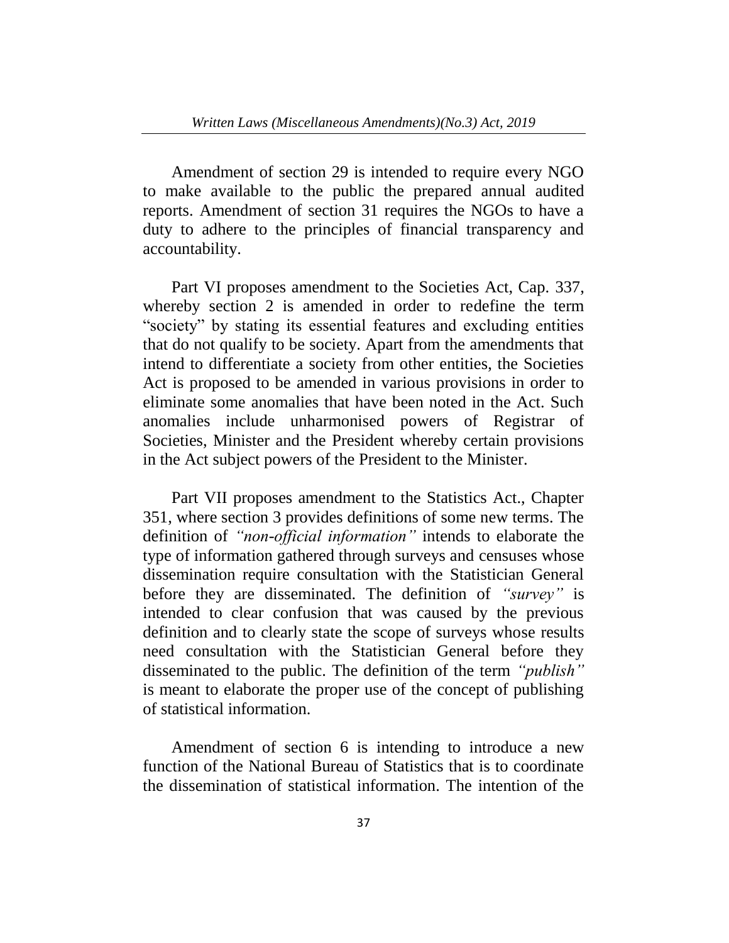Amendment of section 29 is intended to require every NGO to make available to the public the prepared annual audited reports. Amendment of section 31 requires the NGOs to have a duty to adhere to the principles of financial transparency and accountability.

Part VI proposes amendment to the Societies Act, Cap. 337, whereby section 2 is amended in order to redefine the term "society" by stating its essential features and excluding entities that do not qualify to be society. Apart from the amendments that intend to differentiate a society from other entities, the Societies Act is proposed to be amended in various provisions in order to eliminate some anomalies that have been noted in the Act. Such anomalies include unharmonised powers of Registrar of Societies, Minister and the President whereby certain provisions in the Act subject powers of the President to the Minister.

Part VII proposes amendment to the Statistics Act., Chapter 351, where section 3 provides definitions of some new terms. The definition of *"non-official information"* intends to elaborate the type of information gathered through surveys and censuses whose dissemination require consultation with the Statistician General before they are disseminated. The definition of *"survey"* is intended to clear confusion that was caused by the previous definition and to clearly state the scope of surveys whose results need consultation with the Statistician General before they disseminated to the public. The definition of the term *"publish"* is meant to elaborate the proper use of the concept of publishing of statistical information.

Amendment of section 6 is intending to introduce a new function of the National Bureau of Statistics that is to coordinate the dissemination of statistical information. The intention of the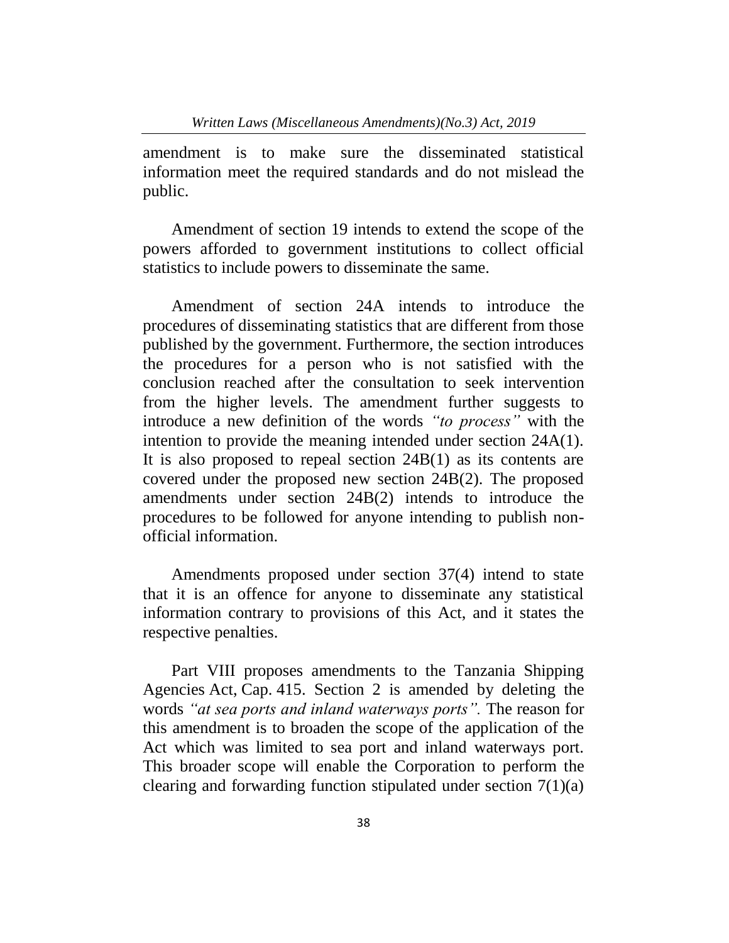amendment is to make sure the disseminated statistical information meet the required standards and do not mislead the public.

Amendment of section 19 intends to extend the scope of the powers afforded to government institutions to collect official statistics to include powers to disseminate the same.

Amendment of section 24A intends to introduce the procedures of disseminating statistics that are different from those published by the government. Furthermore, the section introduces the procedures for a person who is not satisfied with the conclusion reached after the consultation to seek intervention from the higher levels. The amendment further suggests to introduce a new definition of the words *"to process"* with the intention to provide the meaning intended under section 24A(1). It is also proposed to repeal section 24B(1) as its contents are covered under the proposed new section 24B(2). The proposed amendments under section 24B(2) intends to introduce the procedures to be followed for anyone intending to publish nonofficial information.

Amendments proposed under section 37(4) intend to state that it is an offence for anyone to disseminate any statistical information contrary to provisions of this Act, and it states the respective penalties.

Part VIII proposes amendments to the Tanzania Shipping Agencies Act, Cap. 415. Section 2 is amended by deleting the words *"at sea ports and inland waterways ports".* The reason for this amendment is to broaden the scope of the application of the Act which was limited to sea port and inland waterways port. This broader scope will enable the Corporation to perform the clearing and forwarding function stipulated under section 7(1)(a)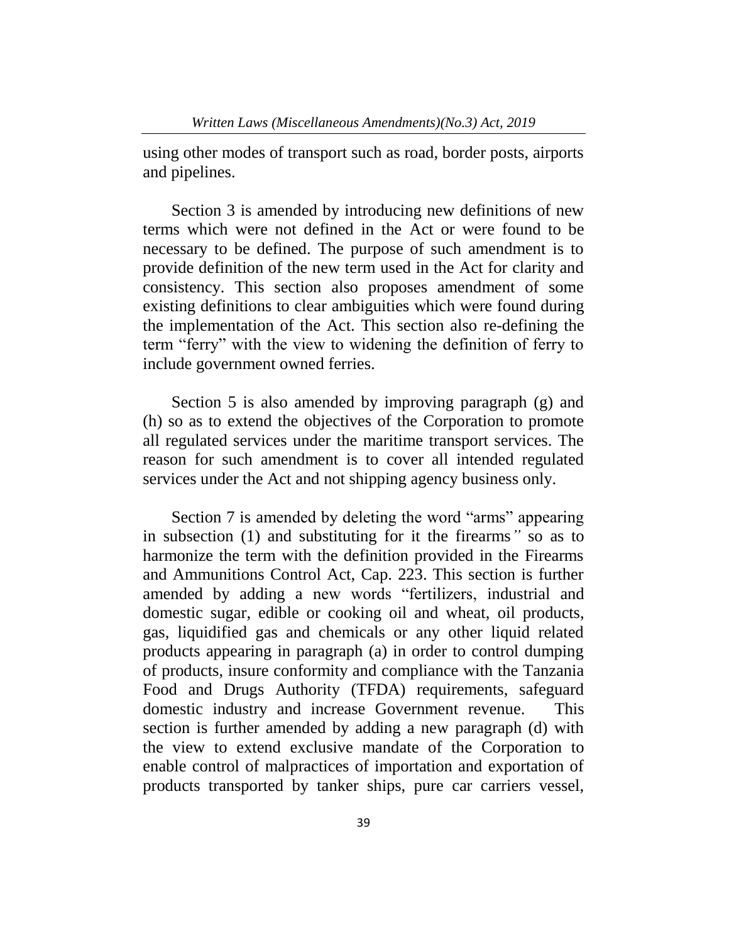using other modes of transport such as road, border posts, airports and pipelines.

Section 3 is amended by introducing new definitions of new terms which were not defined in the Act or were found to be necessary to be defined. The purpose of such amendment is to provide definition of the new term used in the Act for clarity and consistency. This section also proposes amendment of some existing definitions to clear ambiguities which were found during the implementation of the Act. This section also re-defining the term "ferry" with the view to widening the definition of ferry to include government owned ferries.

Section 5 is also amended by improving paragraph (g) and (h) so as to extend the objectives of the Corporation to promote all regulated services under the maritime transport services. The reason for such amendment is to cover all intended regulated services under the Act and not shipping agency business only.

Section 7 is amended by deleting the word "arms" appearing in subsection (1) and substituting for it the firearms*"* so as to harmonize the term with the definition provided in the Firearms and Ammunitions Control Act, Cap. 223. This section is further amended by adding a new words "fertilizers, industrial and domestic sugar, edible or cooking oil and wheat, oil products, gas, liquidified gas and chemicals or any other liquid related products appearing in paragraph (a) in order to control dumping of products, insure conformity and compliance with the Tanzania Food and Drugs Authority (TFDA) requirements, safeguard domestic industry and increase Government revenue. This section is further amended by adding a new paragraph (d) with the view to extend exclusive mandate of the Corporation to enable control of malpractices of importation and exportation of products transported by tanker ships, pure car carriers vessel,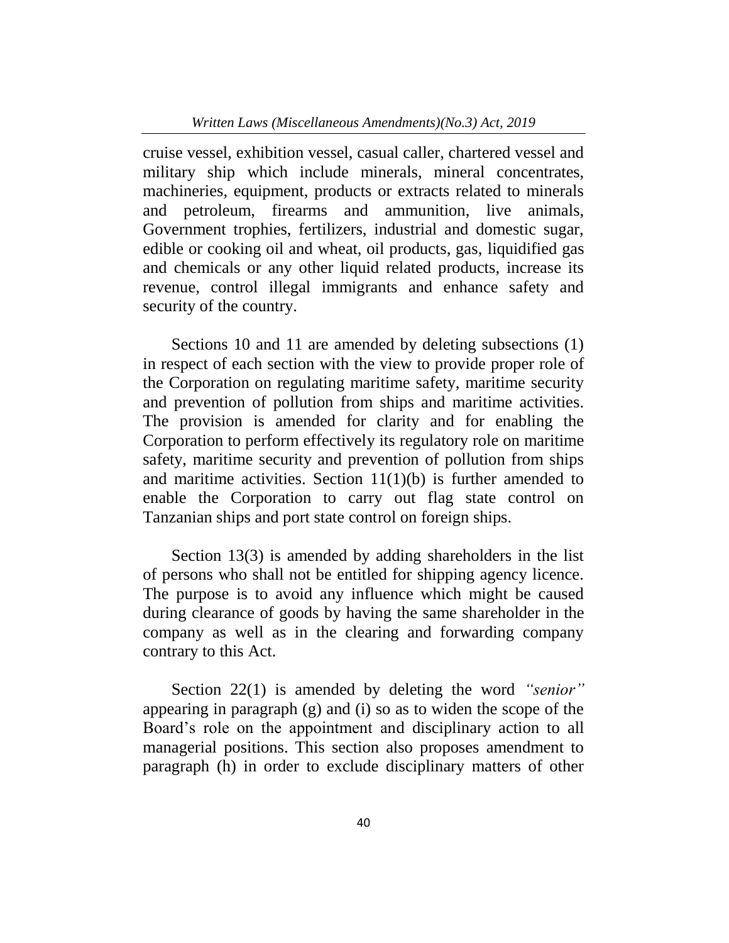cruise vessel, exhibition vessel, casual caller, chartered vessel and military ship which include minerals, mineral concentrates, machineries, equipment, products or extracts related to minerals and petroleum, firearms and ammunition, live animals, Government trophies, fertilizers, industrial and domestic sugar, edible or cooking oil and wheat, oil products, gas, liquidified gas and chemicals or any other liquid related products, increase its revenue, control illegal immigrants and enhance safety and security of the country.

Sections 10 and 11 are amended by deleting subsections (1) in respect of each section with the view to provide proper role of the Corporation on regulating maritime safety, maritime security and prevention of pollution from ships and maritime activities. The provision is amended for clarity and for enabling the Corporation to perform effectively its regulatory role on maritime safety, maritime security and prevention of pollution from ships and maritime activities. Section  $11(1)(b)$  is further amended to enable the Corporation to carry out flag state control on Tanzanian ships and port state control on foreign ships.

Section 13(3) is amended by adding shareholders in the list of persons who shall not be entitled for shipping agency licence. The purpose is to avoid any influence which might be caused during clearance of goods by having the same shareholder in the company as well as in the clearing and forwarding company contrary to this Act.

Section 22(1) is amended by deleting the word *"senior"* appearing in paragraph (g) and (i) so as to widen the scope of the Board's role on the appointment and disciplinary action to all managerial positions. This section also proposes amendment to paragraph (h) in order to exclude disciplinary matters of other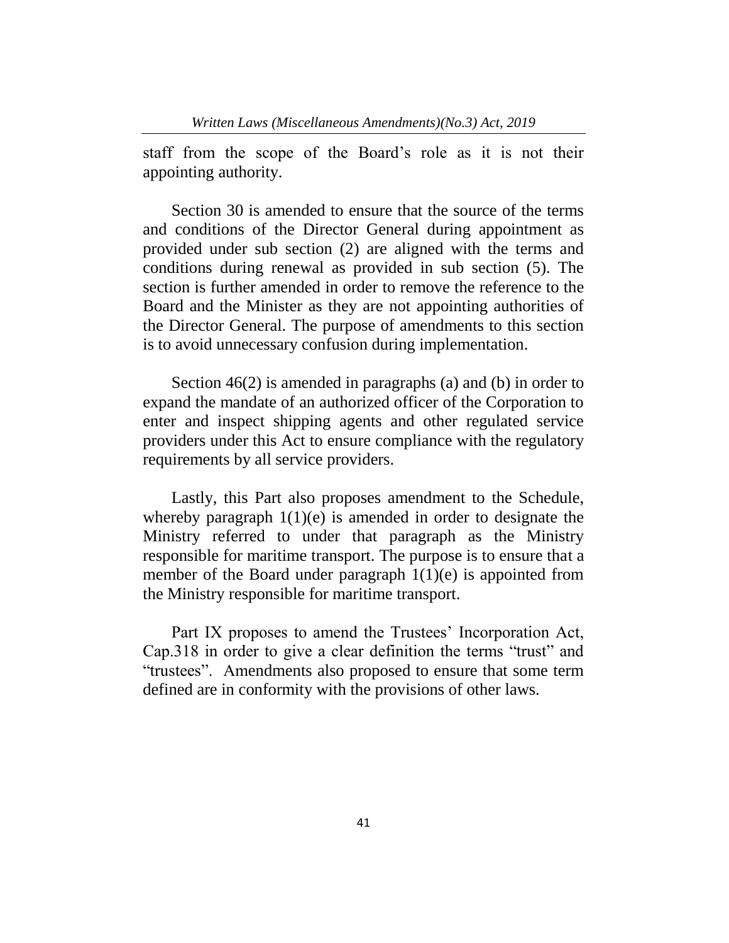staff from the scope of the Board's role as it is not their appointing authority.

Section 30 is amended to ensure that the source of the terms and conditions of the Director General during appointment as provided under sub section (2) are aligned with the terms and conditions during renewal as provided in sub section (5). The section is further amended in order to remove the reference to the Board and the Minister as they are not appointing authorities of the Director General. The purpose of amendments to this section is to avoid unnecessary confusion during implementation.

Section 46(2) is amended in paragraphs (a) and (b) in order to expand the mandate of an authorized officer of the Corporation to enter and inspect shipping agents and other regulated service providers under this Act to ensure compliance with the regulatory requirements by all service providers.

Lastly, this Part also proposes amendment to the Schedule, whereby paragraph  $1(1)(e)$  is amended in order to designate the Ministry referred to under that paragraph as the Ministry responsible for maritime transport. The purpose is to ensure that a member of the Board under paragraph  $1(1)(e)$  is appointed from the Ministry responsible for maritime transport.

Part IX proposes to amend the Trustees' Incorporation Act, Cap.318 in order to give a clear definition the terms "trust" and "trustees". Amendments also proposed to ensure that some term defined are in conformity with the provisions of other laws.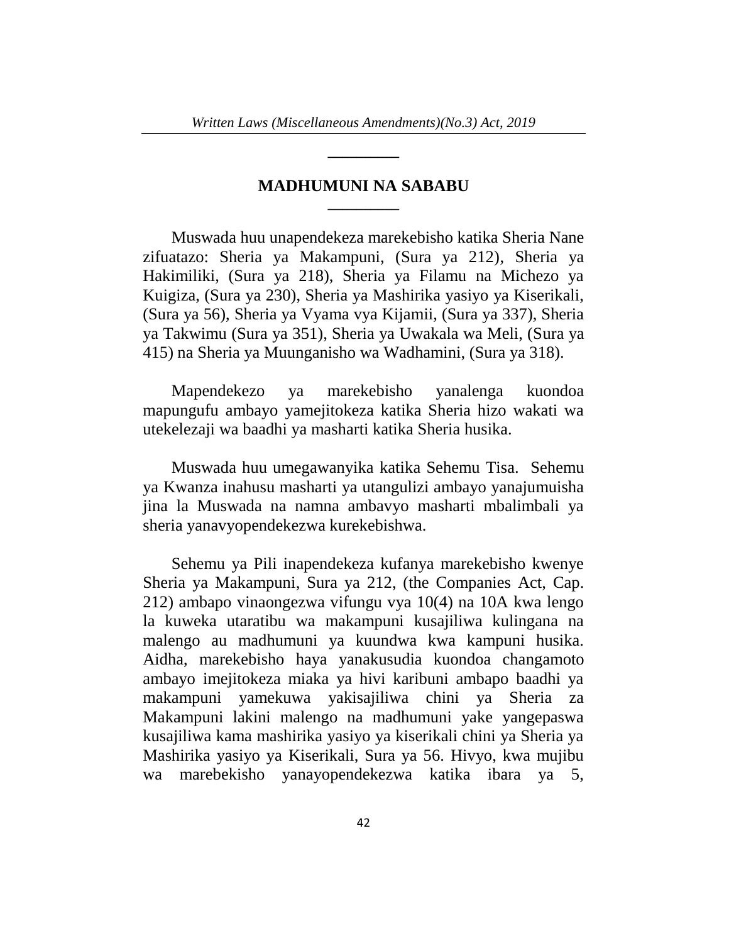**\_\_\_\_\_\_\_\_\_\_**

# **MADHUMUNI NA SABABU \_\_\_\_\_\_\_\_\_\_**

Muswada huu unapendekeza marekebisho katika Sheria Nane zifuatazo: Sheria ya Makampuni, (Sura ya 212), Sheria ya Hakimiliki, (Sura ya 218), Sheria ya Filamu na Michezo ya Kuigiza, (Sura ya 230), Sheria ya Mashirika yasiyo ya Kiserikali, (Sura ya 56), Sheria ya Vyama vya Kijamii, (Sura ya 337), Sheria ya Takwimu (Sura ya 351), Sheria ya Uwakala wa Meli, (Sura ya 415) na Sheria ya Muunganisho wa Wadhamini, (Sura ya 318).

Mapendekezo ya marekebisho yanalenga kuondoa mapungufu ambayo yamejitokeza katika Sheria hizo wakati wa utekelezaji wa baadhi ya masharti katika Sheria husika.

Muswada huu umegawanyika katika Sehemu Tisa. Sehemu ya Kwanza inahusu masharti ya utangulizi ambayo yanajumuisha jina la Muswada na namna ambavyo masharti mbalimbali ya sheria yanavyopendekezwa kurekebishwa.

Sehemu ya Pili inapendekeza kufanya marekebisho kwenye Sheria ya Makampuni, Sura ya 212, (the Companies Act, Cap. 212) ambapo vinaongezwa vifungu vya 10(4) na 10A kwa lengo la kuweka utaratibu wa makampuni kusajiliwa kulingana na malengo au madhumuni ya kuundwa kwa kampuni husika. Aidha, marekebisho haya yanakusudia kuondoa changamoto ambayo imejitokeza miaka ya hivi karibuni ambapo baadhi ya makampuni yamekuwa yakisajiliwa chini ya Sheria za Makampuni lakini malengo na madhumuni yake yangepaswa kusajiliwa kama mashirika yasiyo ya kiserikali chini ya Sheria ya Mashirika yasiyo ya Kiserikali, Sura ya 56. Hivyo, kwa mujibu wa marebekisho yanayopendekezwa katika ibara ya 5,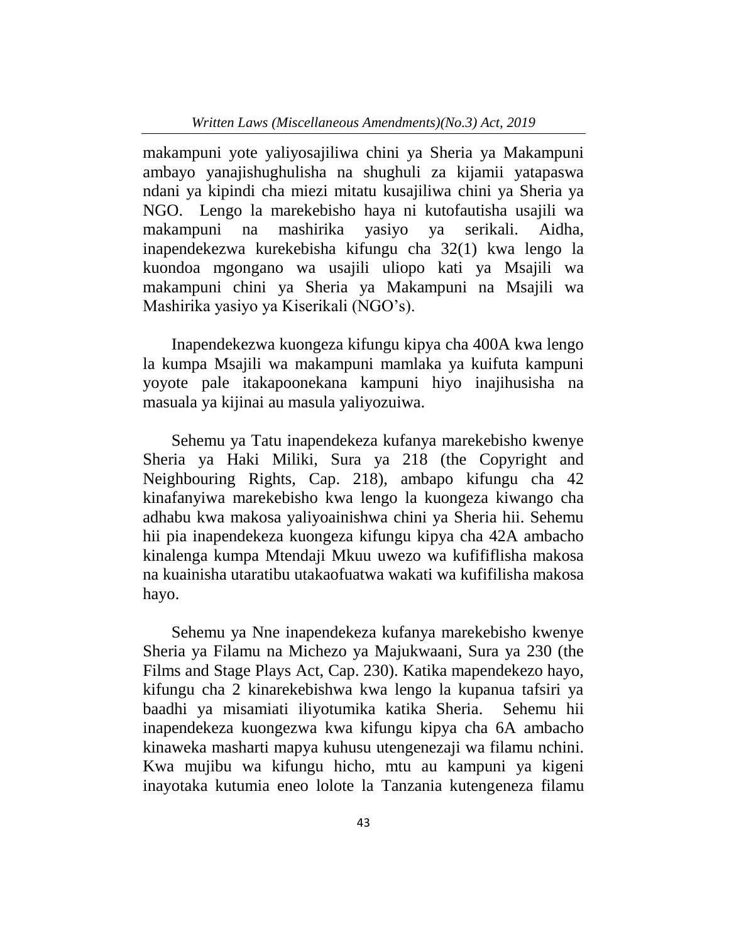makampuni yote yaliyosajiliwa chini ya Sheria ya Makampuni ambayo yanajishughulisha na shughuli za kijamii yatapaswa ndani ya kipindi cha miezi mitatu kusajiliwa chini ya Sheria ya NGO. Lengo la marekebisho haya ni kutofautisha usajili wa makampuni na mashirika yasiyo ya serikali. Aidha, inapendekezwa kurekebisha kifungu cha 32(1) kwa lengo la kuondoa mgongano wa usajili uliopo kati ya Msajili wa makampuni chini ya Sheria ya Makampuni na Msajili wa Mashirika yasiyo ya Kiserikali (NGO's).

Inapendekezwa kuongeza kifungu kipya cha 400A kwa lengo la kumpa Msajili wa makampuni mamlaka ya kuifuta kampuni yoyote pale itakapoonekana kampuni hiyo inajihusisha na masuala ya kijinai au masula yaliyozuiwa.

Sehemu ya Tatu inapendekeza kufanya marekebisho kwenye Sheria ya Haki Miliki, Sura ya 218 (the Copyright and Neighbouring Rights, Cap. 218), ambapo kifungu cha 42 kinafanyiwa marekebisho kwa lengo la kuongeza kiwango cha adhabu kwa makosa yaliyoainishwa chini ya Sheria hii. Sehemu hii pia inapendekeza kuongeza kifungu kipya cha 42A ambacho kinalenga kumpa Mtendaji Mkuu uwezo wa kufififlisha makosa na kuainisha utaratibu utakaofuatwa wakati wa kufifilisha makosa hayo.

Sehemu ya Nne inapendekeza kufanya marekebisho kwenye Sheria ya Filamu na Michezo ya Majukwaani, Sura ya 230 (the Films and Stage Plays Act, Cap. 230). Katika mapendekezo hayo, kifungu cha 2 kinarekebishwa kwa lengo la kupanua tafsiri ya baadhi ya misamiati iliyotumika katika Sheria. Sehemu hii inapendekeza kuongezwa kwa kifungu kipya cha 6A ambacho kinaweka masharti mapya kuhusu utengenezaji wa filamu nchini. Kwa mujibu wa kifungu hicho, mtu au kampuni ya kigeni inayotaka kutumia eneo lolote la Tanzania kutengeneza filamu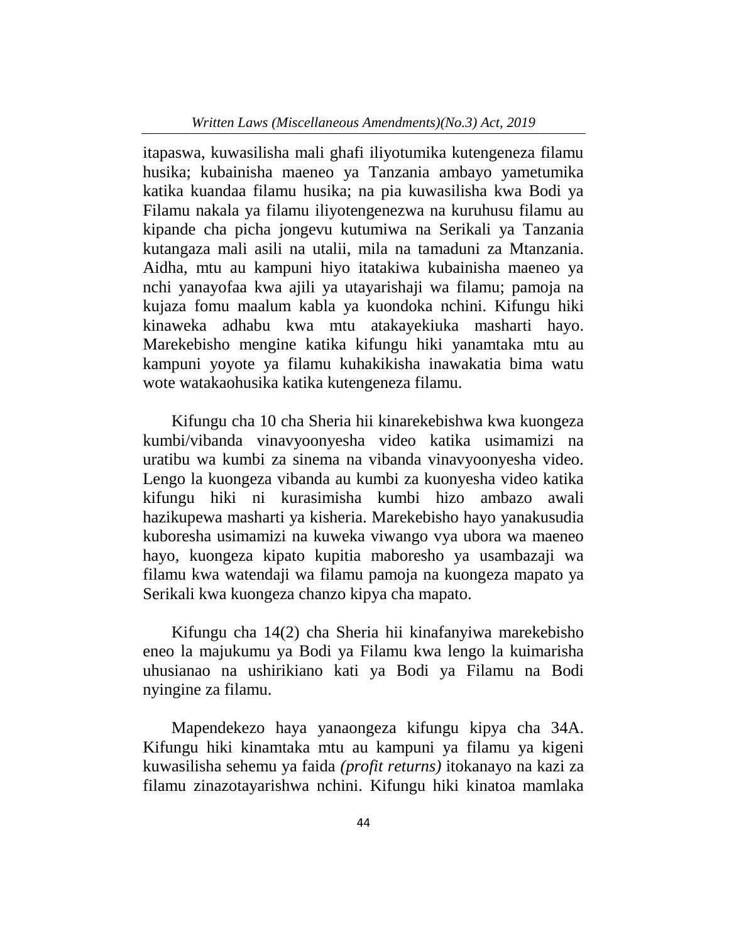itapaswa, kuwasilisha mali ghafi iliyotumika kutengeneza filamu husika; kubainisha maeneo ya Tanzania ambayo yametumika katika kuandaa filamu husika; na pia kuwasilisha kwa Bodi ya Filamu nakala ya filamu iliyotengenezwa na kuruhusu filamu au kipande cha picha jongevu kutumiwa na Serikali ya Tanzania kutangaza mali asili na utalii, mila na tamaduni za Mtanzania. Aidha, mtu au kampuni hiyo itatakiwa kubainisha maeneo ya nchi yanayofaa kwa ajili ya utayarishaji wa filamu; pamoja na kujaza fomu maalum kabla ya kuondoka nchini. Kifungu hiki kinaweka adhabu kwa mtu atakayekiuka masharti hayo. Marekebisho mengine katika kifungu hiki yanamtaka mtu au kampuni yoyote ya filamu kuhakikisha inawakatia bima watu wote watakaohusika katika kutengeneza filamu.

Kifungu cha 10 cha Sheria hii kinarekebishwa kwa kuongeza kumbi/vibanda vinavyoonyesha video katika usimamizi na uratibu wa kumbi za sinema na vibanda vinavyoonyesha video. Lengo la kuongeza vibanda au kumbi za kuonyesha video katika kifungu hiki ni kurasimisha kumbi hizo ambazo awali hazikupewa masharti ya kisheria. Marekebisho hayo yanakusudia kuboresha usimamizi na kuweka viwango vya ubora wa maeneo hayo, kuongeza kipato kupitia maboresho ya usambazaji wa filamu kwa watendaji wa filamu pamoja na kuongeza mapato ya Serikali kwa kuongeza chanzo kipya cha mapato.

Kifungu cha 14(2) cha Sheria hii kinafanyiwa marekebisho eneo la majukumu ya Bodi ya Filamu kwa lengo la kuimarisha uhusianao na ushirikiano kati ya Bodi ya Filamu na Bodi nyingine za filamu.

Mapendekezo haya yanaongeza kifungu kipya cha 34A. Kifungu hiki kinamtaka mtu au kampuni ya filamu ya kigeni kuwasilisha sehemu ya faida *(profit returns)* itokanayo na kazi za filamu zinazotayarishwa nchini. Kifungu hiki kinatoa mamlaka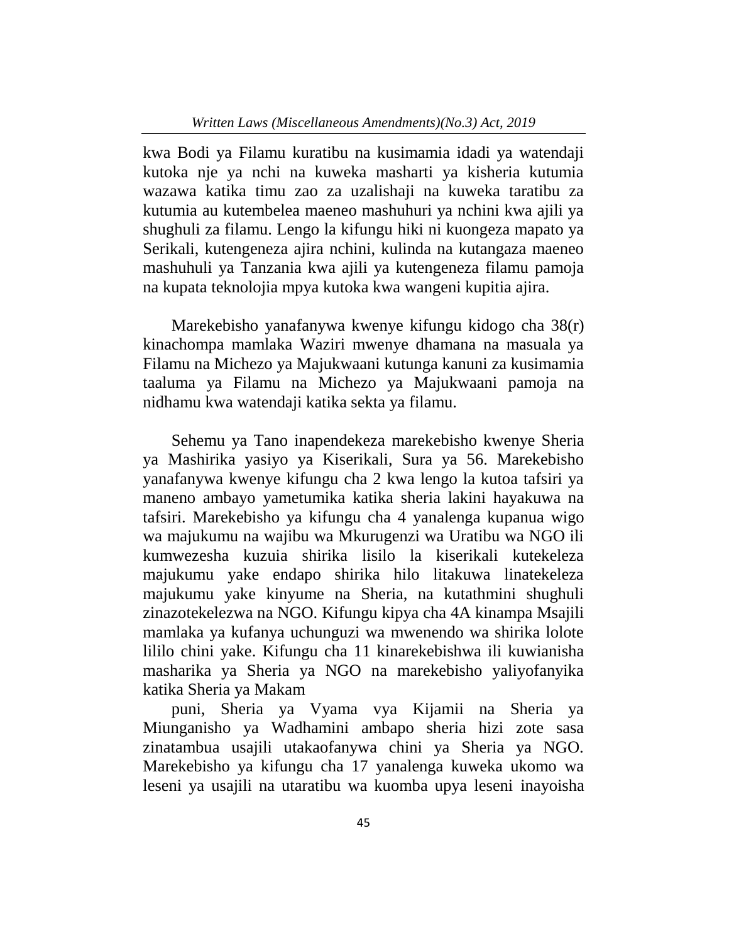kwa Bodi ya Filamu kuratibu na kusimamia idadi ya watendaji kutoka nje ya nchi na kuweka masharti ya kisheria kutumia wazawa katika timu zao za uzalishaji na kuweka taratibu za kutumia au kutembelea maeneo mashuhuri ya nchini kwa ajili ya shughuli za filamu. Lengo la kifungu hiki ni kuongeza mapato ya Serikali, kutengeneza ajira nchini, kulinda na kutangaza maeneo mashuhuli ya Tanzania kwa ajili ya kutengeneza filamu pamoja na kupata teknolojia mpya kutoka kwa wangeni kupitia ajira.

Marekebisho yanafanywa kwenye kifungu kidogo cha 38(r) kinachompa mamlaka Waziri mwenye dhamana na masuala ya Filamu na Michezo ya Majukwaani kutunga kanuni za kusimamia taaluma ya Filamu na Michezo ya Majukwaani pamoja na nidhamu kwa watendaji katika sekta ya filamu.

Sehemu ya Tano inapendekeza marekebisho kwenye Sheria ya Mashirika yasiyo ya Kiserikali, Sura ya 56. Marekebisho yanafanywa kwenye kifungu cha 2 kwa lengo la kutoa tafsiri ya maneno ambayo yametumika katika sheria lakini hayakuwa na tafsiri. Marekebisho ya kifungu cha 4 yanalenga kupanua wigo wa majukumu na wajibu wa Mkurugenzi wa Uratibu wa NGO ili kumwezesha kuzuia shirika lisilo la kiserikali kutekeleza majukumu yake endapo shirika hilo litakuwa linatekeleza majukumu yake kinyume na Sheria, na kutathmini shughuli zinazotekelezwa na NGO. Kifungu kipya cha 4A kinampa Msajili mamlaka ya kufanya uchunguzi wa mwenendo wa shirika lolote lililo chini yake. Kifungu cha 11 kinarekebishwa ili kuwianisha masharika ya Sheria ya NGO na marekebisho yaliyofanyika katika Sheria ya Makam

puni, Sheria ya Vyama vya Kijamii na Sheria ya Miunganisho ya Wadhamini ambapo sheria hizi zote sasa zinatambua usajili utakaofanywa chini ya Sheria ya NGO. Marekebisho ya kifungu cha 17 yanalenga kuweka ukomo wa leseni ya usajili na utaratibu wa kuomba upya leseni inayoisha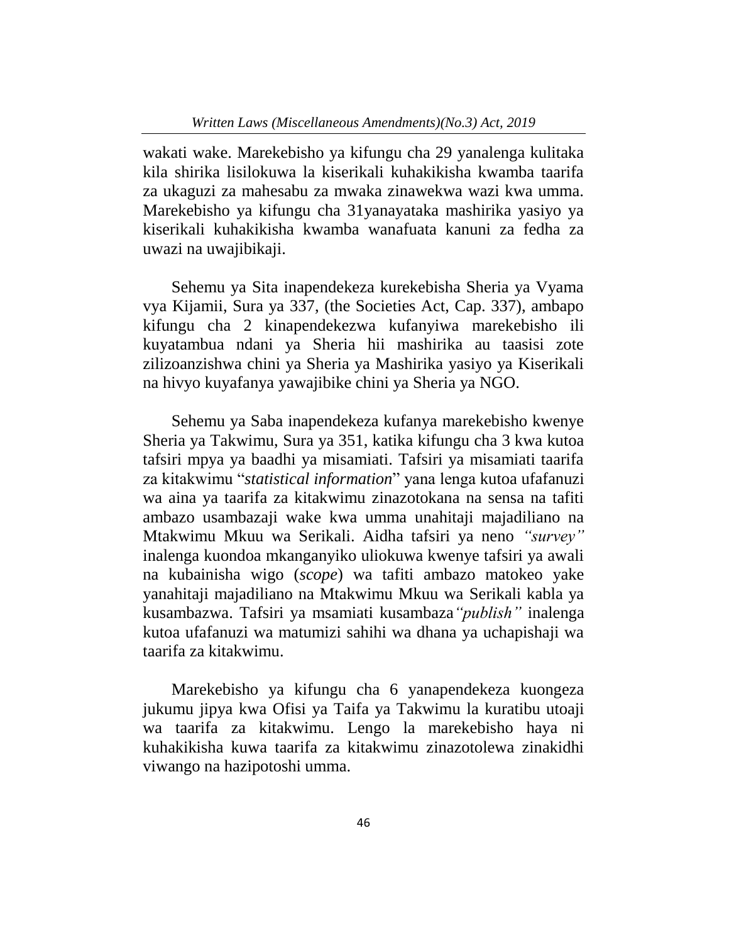wakati wake. Marekebisho ya kifungu cha 29 yanalenga kulitaka kila shirika lisilokuwa la kiserikali kuhakikisha kwamba taarifa za ukaguzi za mahesabu za mwaka zinawekwa wazi kwa umma. Marekebisho ya kifungu cha 31yanayataka mashirika yasiyo ya kiserikali kuhakikisha kwamba wanafuata kanuni za fedha za uwazi na uwajibikaji.

Sehemu ya Sita inapendekeza kurekebisha Sheria ya Vyama vya Kijamii, Sura ya 337, (the Societies Act, Cap. 337), ambapo kifungu cha 2 kinapendekezwa kufanyiwa marekebisho ili kuyatambua ndani ya Sheria hii mashirika au taasisi zote zilizoanzishwa chini ya Sheria ya Mashirika yasiyo ya Kiserikali na hivyo kuyafanya yawajibike chini ya Sheria ya NGO.

Sehemu ya Saba inapendekeza kufanya marekebisho kwenye Sheria ya Takwimu, Sura ya 351, katika kifungu cha 3 kwa kutoa tafsiri mpya ya baadhi ya misamiati. Tafsiri ya misamiati taarifa za kitakwimu "*statistical information*" yana lenga kutoa ufafanuzi wa aina ya taarifa za kitakwimu zinazotokana na sensa na tafiti ambazo usambazaji wake kwa umma unahitaji majadiliano na Mtakwimu Mkuu wa Serikali. Aidha tafsiri ya neno *"survey"* inalenga kuondoa mkanganyiko uliokuwa kwenye tafsiri ya awali na kubainisha wigo (*scope*) wa tafiti ambazo matokeo yake yanahitaji majadiliano na Mtakwimu Mkuu wa Serikali kabla ya kusambazwa. Tafsiri ya msamiati kusambaza*"publish"* inalenga kutoa ufafanuzi wa matumizi sahihi wa dhana ya uchapishaji wa taarifa za kitakwimu.

Marekebisho ya kifungu cha 6 yanapendekeza kuongeza jukumu jipya kwa Ofisi ya Taifa ya Takwimu la kuratibu utoaji wa taarifa za kitakwimu. Lengo la marekebisho haya ni kuhakikisha kuwa taarifa za kitakwimu zinazotolewa zinakidhi viwango na hazipotoshi umma.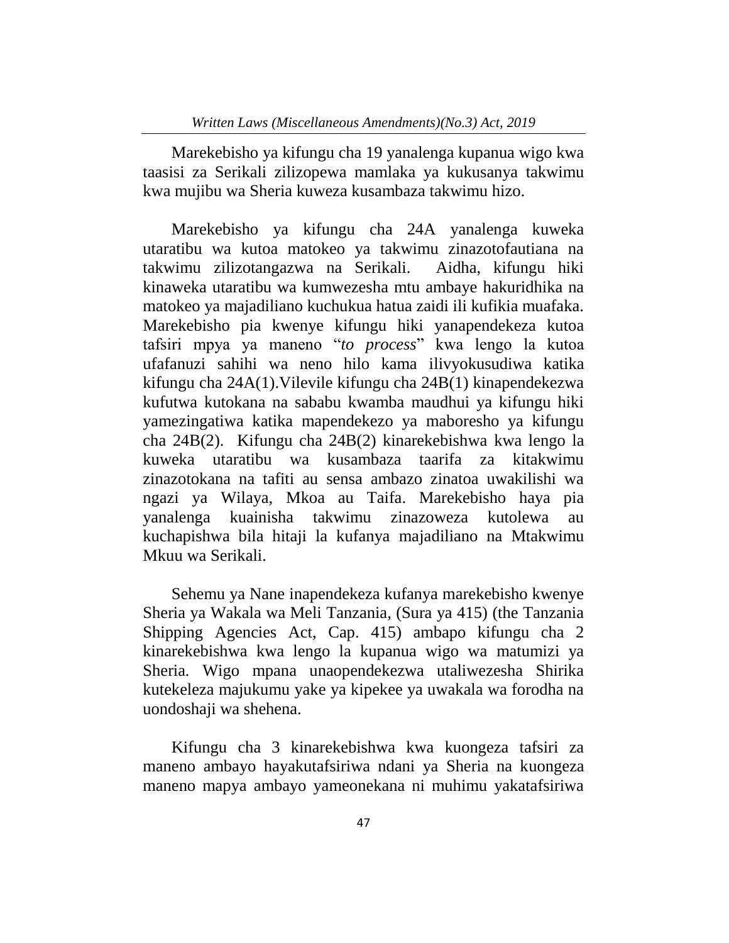Marekebisho ya kifungu cha 19 yanalenga kupanua wigo kwa taasisi za Serikali zilizopewa mamlaka ya kukusanya takwimu kwa mujibu wa Sheria kuweza kusambaza takwimu hizo.

Marekebisho ya kifungu cha 24A yanalenga kuweka utaratibu wa kutoa matokeo ya takwimu zinazotofautiana na takwimu zilizotangazwa na Serikali. Aidha, kifungu hiki kinaweka utaratibu wa kumwezesha mtu ambaye hakuridhika na matokeo ya majadiliano kuchukua hatua zaidi ili kufikia muafaka. Marekebisho pia kwenye kifungu hiki yanapendekeza kutoa tafsiri mpya ya maneno "*to process*" kwa lengo la kutoa ufafanuzi sahihi wa neno hilo kama ilivyokusudiwa katika kifungu cha 24A(1).Vilevile kifungu cha 24B(1) kinapendekezwa kufutwa kutokana na sababu kwamba maudhui ya kifungu hiki yamezingatiwa katika mapendekezo ya maboresho ya kifungu cha 24B(2). Kifungu cha 24B(2) kinarekebishwa kwa lengo la kuweka utaratibu wa kusambaza taarifa za kitakwimu zinazotokana na tafiti au sensa ambazo zinatoa uwakilishi wa ngazi ya Wilaya, Mkoa au Taifa. Marekebisho haya pia yanalenga kuainisha takwimu zinazoweza kutolewa au kuchapishwa bila hitaji la kufanya majadiliano na Mtakwimu Mkuu wa Serikali.

Sehemu ya Nane inapendekeza kufanya marekebisho kwenye Sheria ya Wakala wa Meli Tanzania, (Sura ya 415) (the Tanzania Shipping Agencies Act, Cap. 415) ambapo kifungu cha 2 kinarekebishwa kwa lengo la kupanua wigo wa matumizi ya Sheria*.* Wigo mpana unaopendekezwa utaliwezesha Shirika kutekeleza majukumu yake ya kipekee ya uwakala wa forodha na uondoshaji wa shehena.

Kifungu cha 3 kinarekebishwa kwa kuongeza tafsiri za maneno ambayo hayakutafsiriwa ndani ya Sheria na kuongeza maneno mapya ambayo yameonekana ni muhimu yakatafsiriwa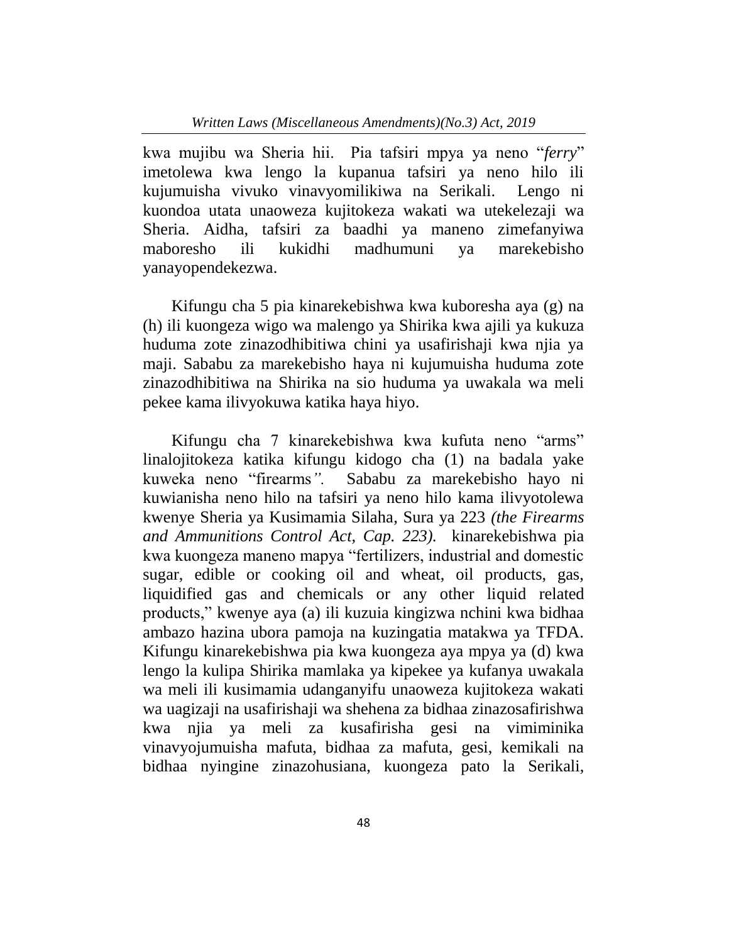kwa mujibu wa Sheria hii. Pia tafsiri mpya ya neno "*ferry*" imetolewa kwa lengo la kupanua tafsiri ya neno hilo ili kujumuisha vivuko vinavyomilikiwa na Serikali. Lengo ni kuondoa utata unaoweza kujitokeza wakati wa utekelezaji wa Sheria. Aidha, tafsiri za baadhi ya maneno zimefanyiwa maboresho ili kukidhi madhumuni ya marekebisho yanayopendekezwa.

Kifungu cha 5 pia kinarekebishwa kwa kuboresha aya (g) na (h) ili kuongeza wigo wa malengo ya Shirika kwa ajili ya kukuza huduma zote zinazodhibitiwa chini ya usafirishaji kwa njia ya maji. Sababu za marekebisho haya ni kujumuisha huduma zote zinazodhibitiwa na Shirika na sio huduma ya uwakala wa meli pekee kama ilivyokuwa katika haya hiyo.

Kifungu cha 7 kinarekebishwa kwa kufuta neno "arms" linalojitokeza katika kifungu kidogo cha (1) na badala yake kuweka neno "firearms*".* Sababu za marekebisho hayo ni kuwianisha neno hilo na tafsiri ya neno hilo kama ilivyotolewa kwenye Sheria ya Kusimamia Silaha, Sura ya 223 *(the Firearms and Ammunitions Control Act, Cap. 223).* kinarekebishwa pia kwa kuongeza maneno mapya "fertilizers, industrial and domestic sugar, edible or cooking oil and wheat, oil products, gas, liquidified gas and chemicals or any other liquid related products," kwenye aya (a) ili kuzuia kingizwa nchini kwa bidhaa ambazo hazina ubora pamoja na kuzingatia matakwa ya TFDA. Kifungu kinarekebishwa pia kwa kuongeza aya mpya ya (d) kwa lengo la kulipa Shirika mamlaka ya kipekee ya kufanya uwakala wa meli ili kusimamia udanganyifu unaoweza kujitokeza wakati wa uagizaji na usafirishaji wa shehena za bidhaa zinazosafirishwa kwa njia ya meli za kusafirisha gesi na vimiminika vinavyojumuisha mafuta, bidhaa za mafuta, gesi, kemikali na bidhaa nyingine zinazohusiana, kuongeza pato la Serikali,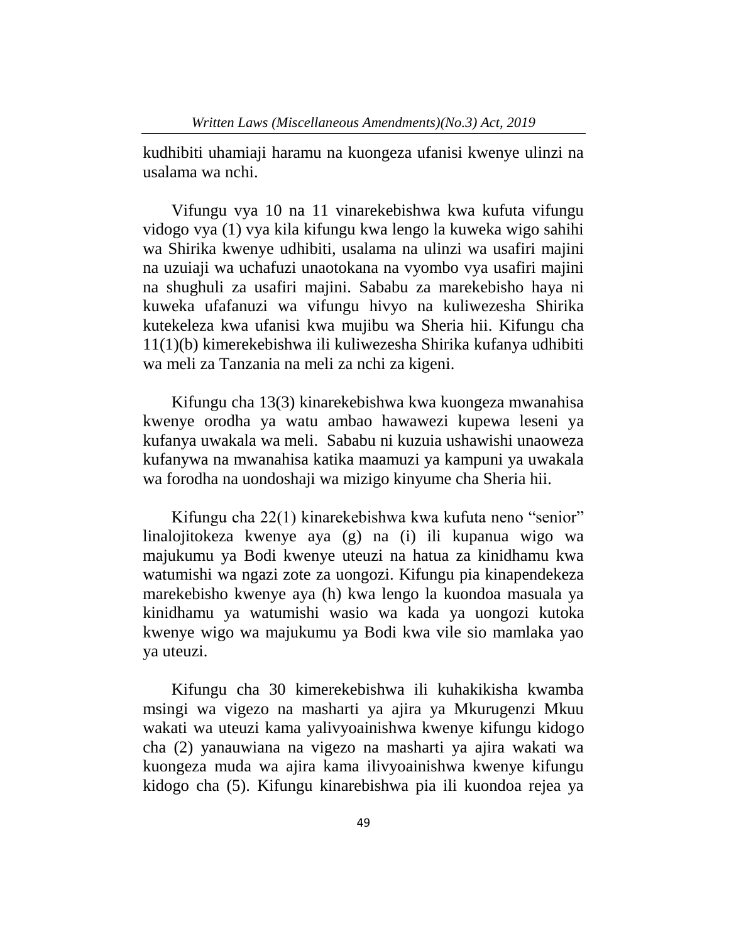kudhibiti uhamiaji haramu na kuongeza ufanisi kwenye ulinzi na usalama wa nchi.

Vifungu vya 10 na 11 vinarekebishwa kwa kufuta vifungu vidogo vya (1) vya kila kifungu kwa lengo la kuweka wigo sahihi wa Shirika kwenye udhibiti, usalama na ulinzi wa usafiri majini na uzuiaji wa uchafuzi unaotokana na vyombo vya usafiri majini na shughuli za usafiri majini. Sababu za marekebisho haya ni kuweka ufafanuzi wa vifungu hivyo na kuliwezesha Shirika kutekeleza kwa ufanisi kwa mujibu wa Sheria hii. Kifungu cha 11(1)(b) kimerekebishwa ili kuliwezesha Shirika kufanya udhibiti wa meli za Tanzania na meli za nchi za kigeni.

Kifungu cha 13(3) kinarekebishwa kwa kuongeza mwanahisa kwenye orodha ya watu ambao hawawezi kupewa leseni ya kufanya uwakala wa meli. Sababu ni kuzuia ushawishi unaoweza kufanywa na mwanahisa katika maamuzi ya kampuni ya uwakala wa forodha na uondoshaji wa mizigo kinyume cha Sheria hii.

Kifungu cha 22(1) kinarekebishwa kwa kufuta neno "senior" linalojitokeza kwenye aya (g) na (i) ili kupanua wigo wa majukumu ya Bodi kwenye uteuzi na hatua za kinidhamu kwa watumishi wa ngazi zote za uongozi. Kifungu pia kinapendekeza marekebisho kwenye aya (h) kwa lengo la kuondoa masuala ya kinidhamu ya watumishi wasio wa kada ya uongozi kutoka kwenye wigo wa majukumu ya Bodi kwa vile sio mamlaka yao ya uteuzi.

Kifungu cha 30 kimerekebishwa ili kuhakikisha kwamba msingi wa vigezo na masharti ya ajira ya Mkurugenzi Mkuu wakati wa uteuzi kama yalivyoainishwa kwenye kifungu kidogo cha (2) yanauwiana na vigezo na masharti ya ajira wakati wa kuongeza muda wa ajira kama ilivyoainishwa kwenye kifungu kidogo cha (5). Kifungu kinarebishwa pia ili kuondoa rejea ya